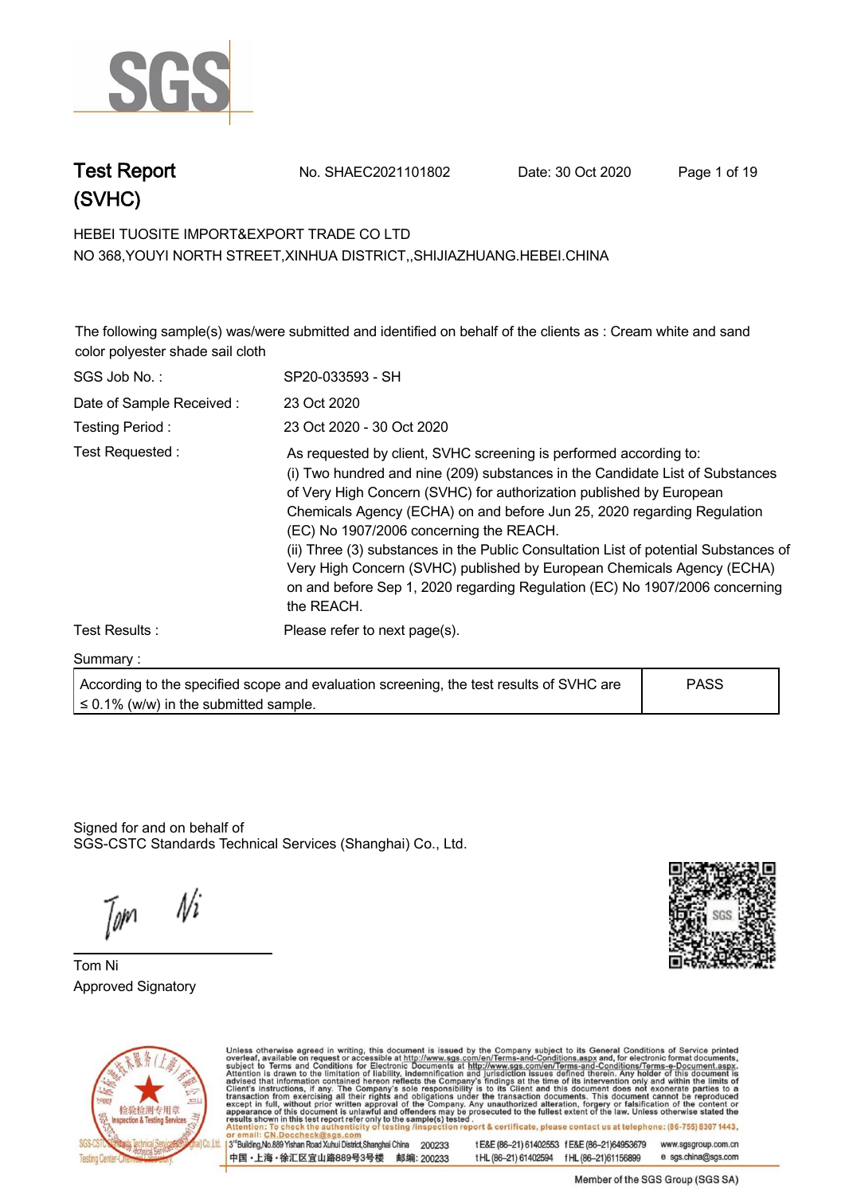

**Test Report. No. SHAEC2021101802 Date: 30 Oct 2020. Page 1 of 19.**



#### **HEBEI TUOSITE IMPORT&EXPORT TRADE CO LTD . NO 368,YOUYI NORTH STREET,XINHUA DISTRICT,,SHIJIAZHUANG.HEBEI.CHINA**

**The following sample(s) was/were submitted and identified on behalf of the clients as : Cream white and sand color polyester shade sail cloth .**

| SGS Job No.:             | SP20-033593 - SH                                                                                                                                                                                                                                                                                                                                                                                                                                                                                                                                                                                               |  |
|--------------------------|----------------------------------------------------------------------------------------------------------------------------------------------------------------------------------------------------------------------------------------------------------------------------------------------------------------------------------------------------------------------------------------------------------------------------------------------------------------------------------------------------------------------------------------------------------------------------------------------------------------|--|
| Date of Sample Received: | 23 Oct 2020                                                                                                                                                                                                                                                                                                                                                                                                                                                                                                                                                                                                    |  |
| Testing Period:          | 23 Oct 2020 - 30 Oct 2020                                                                                                                                                                                                                                                                                                                                                                                                                                                                                                                                                                                      |  |
| Test Requested:          | As requested by client, SVHC screening is performed according to:<br>(i) Two hundred and nine (209) substances in the Candidate List of Substances<br>of Very High Concern (SVHC) for authorization published by European<br>Chemicals Agency (ECHA) on and before Jun 25, 2020 regarding Regulation<br>(EC) No 1907/2006 concerning the REACH.<br>(ii) Three (3) substances in the Public Consultation List of potential Substances of<br>Very High Concern (SVHC) published by European Chemicals Agency (ECHA)<br>on and before Sep 1, 2020 regarding Regulation (EC) No 1907/2006 concerning<br>the REACH. |  |
| Test Results:            | Please refer to next page(s).                                                                                                                                                                                                                                                                                                                                                                                                                                                                                                                                                                                  |  |
| Summary:                 |                                                                                                                                                                                                                                                                                                                                                                                                                                                                                                                                                                                                                |  |
|                          |                                                                                                                                                                                                                                                                                                                                                                                                                                                                                                                                                                                                                |  |

**According to the specified scope and evaluation screening, the test results of SVHC are ≤ 0.1% (w/w) in the submitted sample. PASS**

Signed for and on behalf of SGS-CSTC Standards Technical Services (Shanghai) Co., Ltd..

Ni

**Tom Ni. Approved Signatory . . .**





Unless otherwise agreed in writing, this document is issued by the Company subject to its General Conditions of Service printed overleaf, available on request or accessible at http://www.sgs.com/en/Terms-and-Conditions.asp 13<sup>rd</sup> Building No.889 Yishan Road Xuhui District Shanghai China 200233

中国·上海·徐汇区宜山路889号3号楼 邮编: 200233

t E&E (86-21) 61402553 f E&E (86-21)64953679 www.sgsgroup.com.cn

tHL (86-21) 61402594 fHL (86-21) 61156899 e sgs.china@sgs.com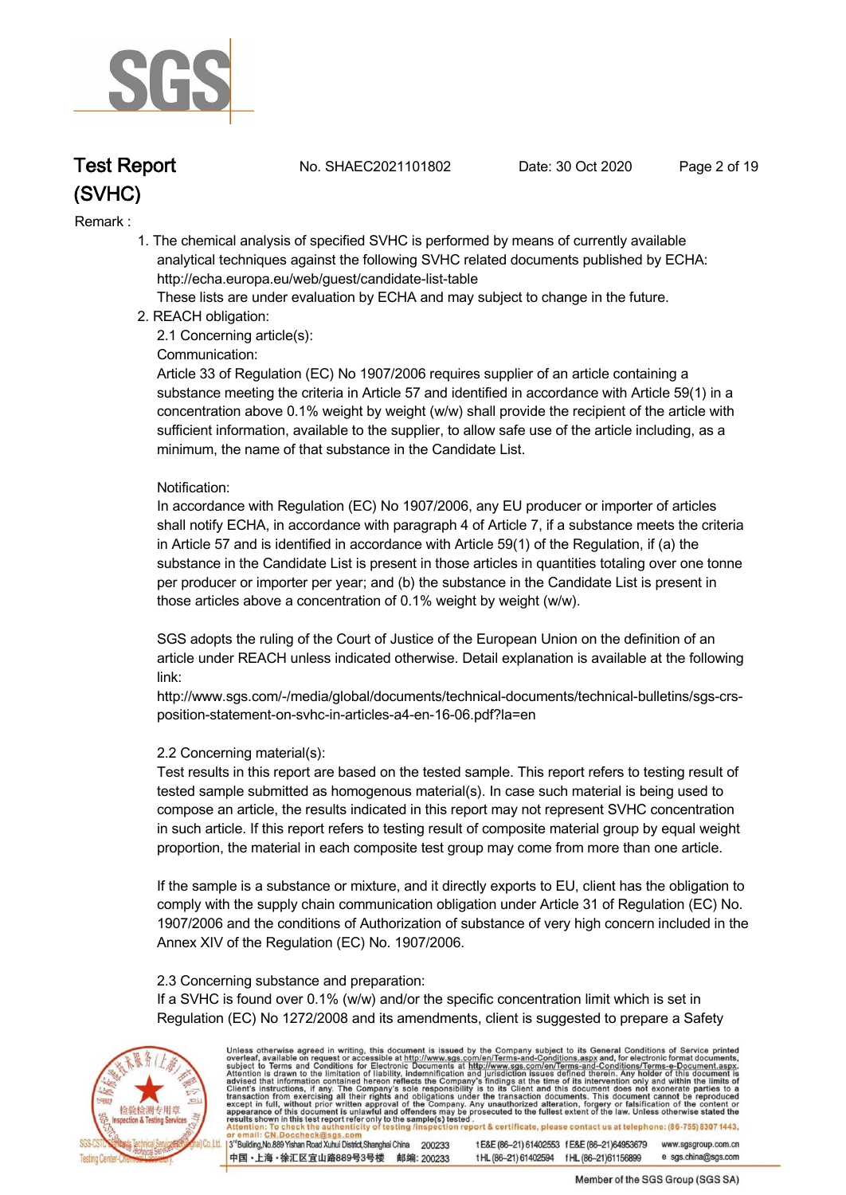

**Test Report. No. SHAEC2021101802 Date: 30 Oct 2020. Page 2 of 19.**

#### **Remark :.**

 **1. The chemical analysis of specified SVHC is performed by means of currently available analytical techniques against the following SVHC related documents published by ECHA: http://echa.europa.eu/web/guest/candidate-list-table** 

 **These lists are under evaluation by ECHA and may subject to change in the future.** 

 **2. REACH obligation:** 

 **2.1 Concerning article(s):** 

#### **Communication:**

 **Article 33 of Regulation (EC) No 1907/2006 requires supplier of an article containing a substance meeting the criteria in Article 57 and identified in accordance with Article 59(1) in a concentration above 0.1% weight by weight (w/w) shall provide the recipient of the article with sufficient information, available to the supplier, to allow safe use of the article including, as a minimum, the name of that substance in the Candidate List.** 

#### **Notification:**

 **In accordance with Regulation (EC) No 1907/2006, any EU producer or importer of articles shall notify ECHA, in accordance with paragraph 4 of Article 7, if a substance meets the criteria in Article 57 and is identified in accordance with Article 59(1) of the Regulation, if (a) the substance in the Candidate List is present in those articles in quantities totaling over one tonne per producer or importer per year; and (b) the substance in the Candidate List is present in those articles above a concentration of 0.1% weight by weight (w/w).** 

 **SGS adopts the ruling of the Court of Justice of the European Union on the definition of an article under REACH unless indicated otherwise. Detail explanation is available at the following link:** 

 **http://www.sgs.com/-/media/global/documents/technical-documents/technical-bulletins/sgs-crs position-statement-on-svhc-in-articles-a4-en-16-06.pdf?la=en** 

#### **2.2 Concerning material(s):**

 **Test results in this report are based on the tested sample. This report refers to testing result of tested sample submitted as homogenous material(s). In case such material is being used to compose an article, the results indicated in this report may not represent SVHC concentration in such article. If this report refers to testing result of composite material group by equal weight proportion, the material in each composite test group may come from more than one article.** 

 **If the sample is a substance or mixture, and it directly exports to EU, client has the obligation to comply with the supply chain communication obligation under Article 31 of Regulation (EC) No. 1907/2006 and the conditions of Authorization of substance of very high concern included in the Annex XIV of the Regulation (EC) No. 1907/2006.** 

#### **2.3 Concerning substance and preparation:**

 **If a SVHC is found over 0.1% (w/w) and/or the specific concentration limit which is set in Regulation (EC) No 1272/2008 and its amendments, client is suggested to prepare a Safety** 



Unless otherwise agreed in writing, this document is issued by the Company subject to its General Conditions of Service printed overleaf, available on request or accessible at http://www.sgs.com/en/Terms-and-Conditions.asp

3<sup>rd</sup>Building, No.889 Yishan Road Xuhui District, Shanghai China 200233 中国·上海·徐汇区宜山路889号3号楼 邮编: 200233 tE&E (86-21) 61402553 fE&E (86-21)64953679 www.sgsgroup.com.cn t HL (86-21) 61402594 f HL (86-21) 61156899 e sgs.china@sgs.com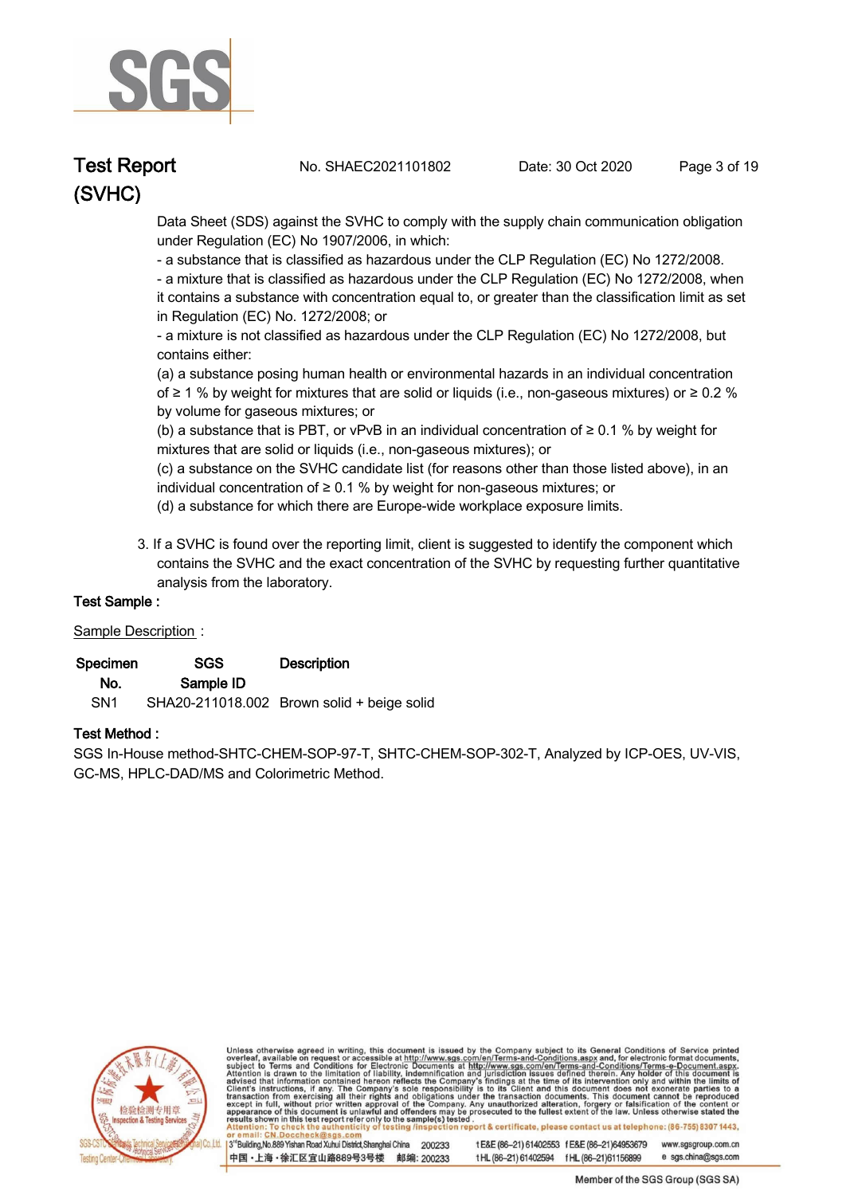

**Test Report. No. SHAEC2021101802 Date: 30 Oct 2020. Page 3 of 19.**

 **Data Sheet (SDS) against the SVHC to comply with the supply chain communication obligation under Regulation (EC) No 1907/2006, in which:** 

 **- a substance that is classified as hazardous under the CLP Regulation (EC) No 1272/2008.** 

 **- a mixture that is classified as hazardous under the CLP Regulation (EC) No 1272/2008, when it contains a substance with concentration equal to, or greater than the classification limit as set in Regulation (EC) No. 1272/2008; or** 

 **- a mixture is not classified as hazardous under the CLP Regulation (EC) No 1272/2008, but contains either:** 

 **(a) a substance posing human health or environmental hazards in an individual concentration of ≥ 1 % by weight for mixtures that are solid or liquids (i.e., non-gaseous mixtures) or ≥ 0.2 % by volume for gaseous mixtures; or** 

 **(b) a substance that is PBT, or vPvB in an individual concentration of ≥ 0.1 % by weight for mixtures that are solid or liquids (i.e., non-gaseous mixtures); or** 

 **(c) a substance on the SVHC candidate list (for reasons other than those listed above), in an individual concentration of ≥ 0.1 % by weight for non-gaseous mixtures; or** 

- **(d) a substance for which there are Europe-wide workplace exposure limits.**
- **3. If a SVHC is found over the reporting limit, client is suggested to identify the component which contains the SVHC and the exact concentration of the SVHC by requesting further quantitative analysis from the laboratory.**

#### **Test Sample :.**

#### **Sample Description :.**

| Specimen        | SGS.      | <b>Description</b>                         |
|-----------------|-----------|--------------------------------------------|
| No.             | Sample ID |                                            |
| SN <sub>1</sub> |           | SHA20-211018.002 Brown solid + beige solid |

#### **Test Method :.**

**SGS In-House method-SHTC-CHEM-SOP-97-T, SHTC-CHEM-SOP-302-T, Analyzed by ICP-OES, UV-VIS, GC-MS, HPLC-DAD/MS and Colorimetric Method. .**



Unless otherwise agreed in writing, this document is issued by the Company subject to its General Conditions of Service printed overleaf, available on request or accessible at http://www.sgs.com/en/Terms-and-Conditions.asp

3<sup>rd</sup>Building, No.889 Yishan Road Xuhui District, Shanghai China 200233 中国·上海·徐汇区宜山路889号3号楼 邮编: 200233 tE&E (86-21) 61402553 fE&E (86-21)64953679 www.sgsgroup.com.cn

t HL (86-21) 61402594 f HL (86-21) 61156899 e sgs.china@sgs.com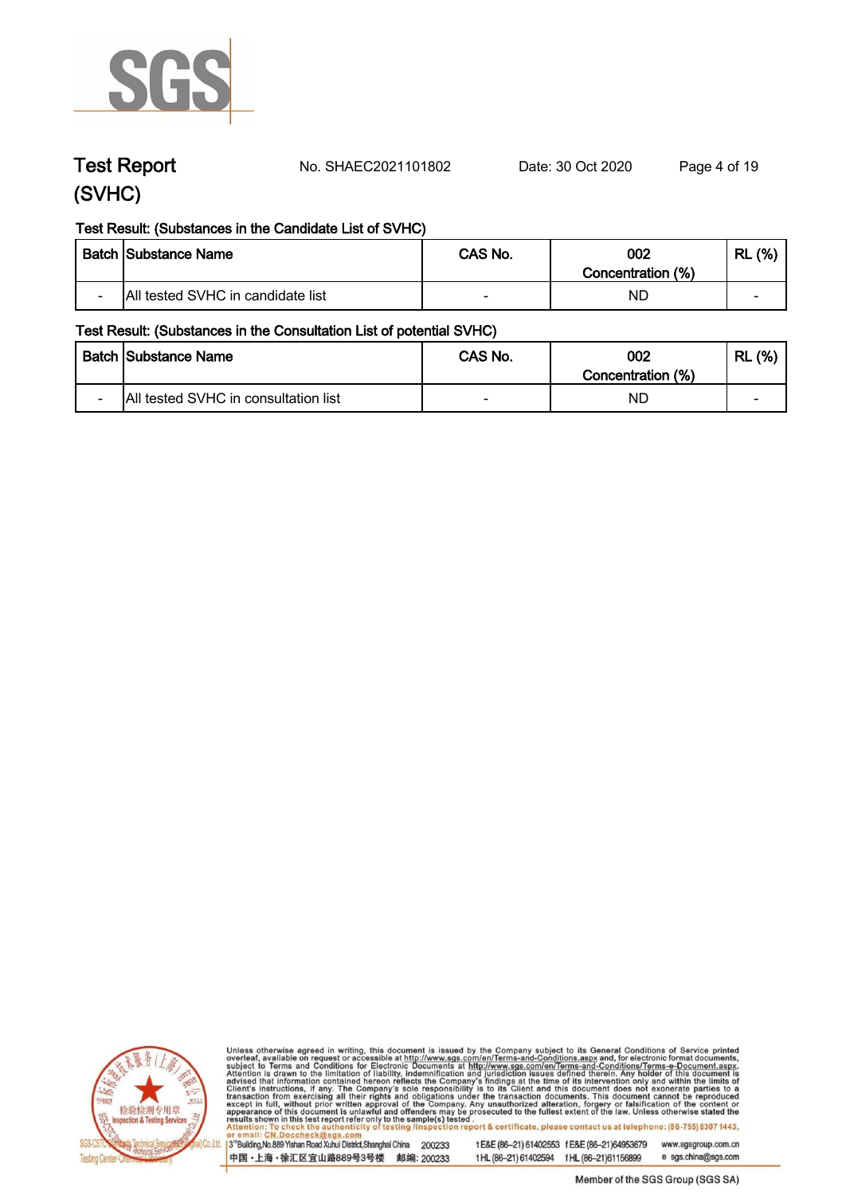

**Test Report. No. SHAEC2021101802 Date: 30 Oct 2020. Page 4 of 19.**

#### **Test Result: (Substances in the Candidate List of SVHC)**

|        | <b>Batch Substance Name</b>       | CAS No. | 002<br>Concentration (%) | (% )<br>RL               |
|--------|-----------------------------------|---------|--------------------------|--------------------------|
| $\sim$ | All tested SVHC in candidate list |         | ND.                      | $\overline{\phantom{0}}$ |

#### **Test Result: (Substances in the Consultation List of potential SVHC)**

|                          | <b>Batch Substance Name</b>          | CAS No.                  | 002<br>Concentration (%) | (% )<br>RL               |
|--------------------------|--------------------------------------|--------------------------|--------------------------|--------------------------|
| $\overline{\phantom{0}}$ | All tested SVHC in consultation list | $\overline{\phantom{0}}$ | NL                       | $\overline{\phantom{a}}$ |



Unless otherwise agreed in writing, this document is issued by the Company subject to its General Conditions of Service printed overleaf, available on request or accessible at http://www.sgs.com/en/Terms-and-Conditions.asp

3<sup>'</sup>Building, No.889 Yishan Road Xuhui District, Shanghai China 200233 中国·上海·徐汇区宜山路889号3号楼 邮编: 200233

tE&E (86-21) 61402553 fE&E (86-21)64953679 www.sgsgroup.com.cn e sgs.china@sgs.com tHL (86-21) 61402594 fHL (86-21) 61156899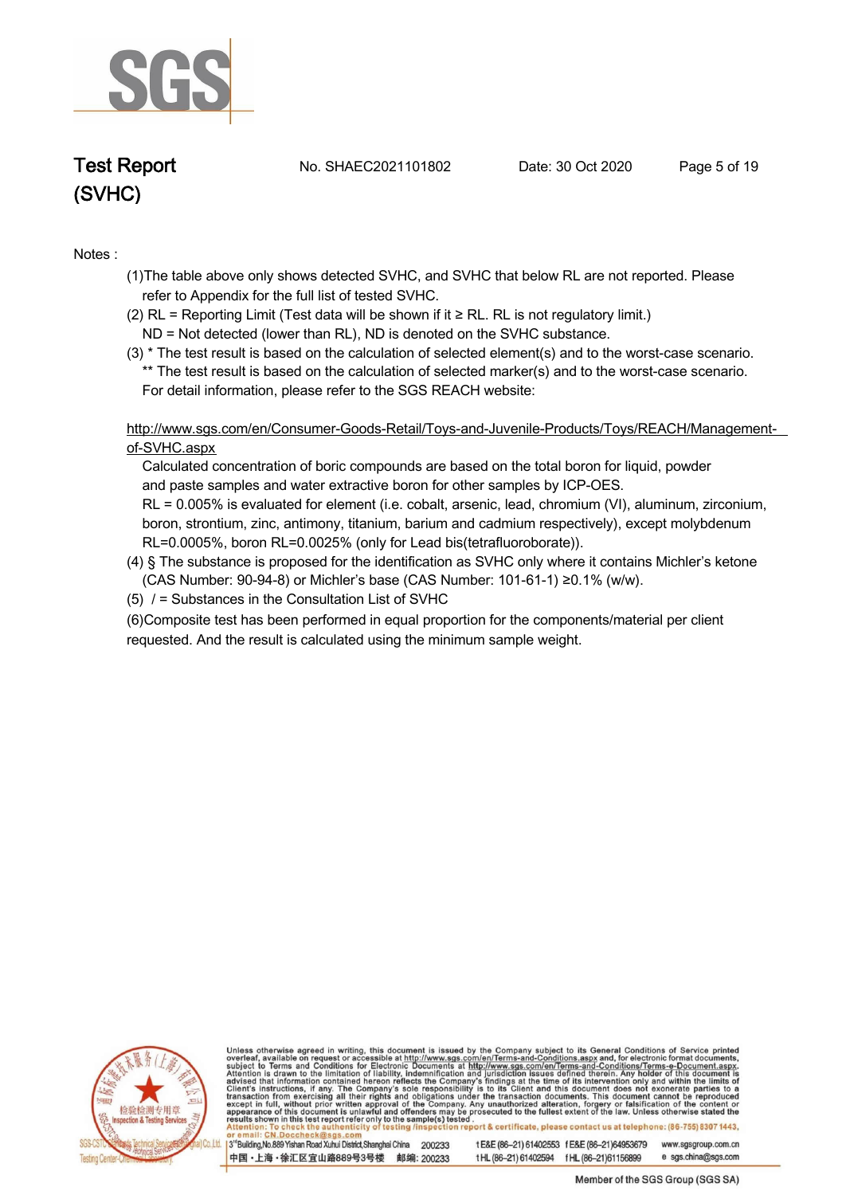

**Test Report. No. SHAEC2021101802 Date: 30 Oct 2020. Page 5 of 19.**

#### **Notes :.**

- **(1)The table above only shows detected SVHC, and SVHC that below RL are not reported. Please refer to Appendix for the full list of tested SVHC.**
- **(2) RL = Reporting Limit (Test data will be shown if it ≥ RL. RL is not regulatory limit.)**
- **ND = Not detected (lower than RL), ND is denoted on the SVHC substance.**
- **(3) \* The test result is based on the calculation of selected element(s) and to the worst-case scenario. \*\* The test result is based on the calculation of selected marker(s) and to the worst-case scenario. For detail information, please refer to the SGS REACH website:**

 **http://www.sgs.com/en/Consumer-Goods-Retail/Toys-and-Juvenile-Products/Toys/REACH/Managementof-SVHC.aspx**

 **Calculated concentration of boric compounds are based on the total boron for liquid, powder and paste samples and water extractive boron for other samples by ICP-OES.**

 **RL = 0.005% is evaluated for element (i.e. cobalt, arsenic, lead, chromium (VI), aluminum, zirconium, boron, strontium, zinc, antimony, titanium, barium and cadmium respectively), except molybdenum RL=0.0005%, boron RL=0.0025% (only for Lead bis(tetrafluoroborate)).**

- **(4) § The substance is proposed for the identification as SVHC only where it contains Michler's ketone (CAS Number: 90-94-8) or Michler's base (CAS Number: 101-61-1) ≥0.1% (w/w).**
- **(5) / = Substances in the Consultation List of SVHC .**

**(6)Composite test has been performed in equal proportion for the components/material per client requested. And the result is calculated using the minimum sample weight. .**



Unless otherwise agreed in writing, this document is issued by the Company subject to its General Conditions of Service printed overleaf, available on request or accessible at http://www.sgs.com/en/Terms-and-Conditions.asp eport & certificate, please contact us at telephone: (86-755) 8307 1443, sting/i

3<sup>rd</sup>Building, No.889 Yishan Road Xuhui District, Shanghai China 200233 中国·上海·徐汇区宜山路889号3号楼 邮编: 200233 t E&E (86-21) 61402553 f E&E (86-21)64953679 www.sgsgroup.com.cn

t HL (86-21) 61402594 f HL (86-21) 61156899 e sgs.china@sgs.com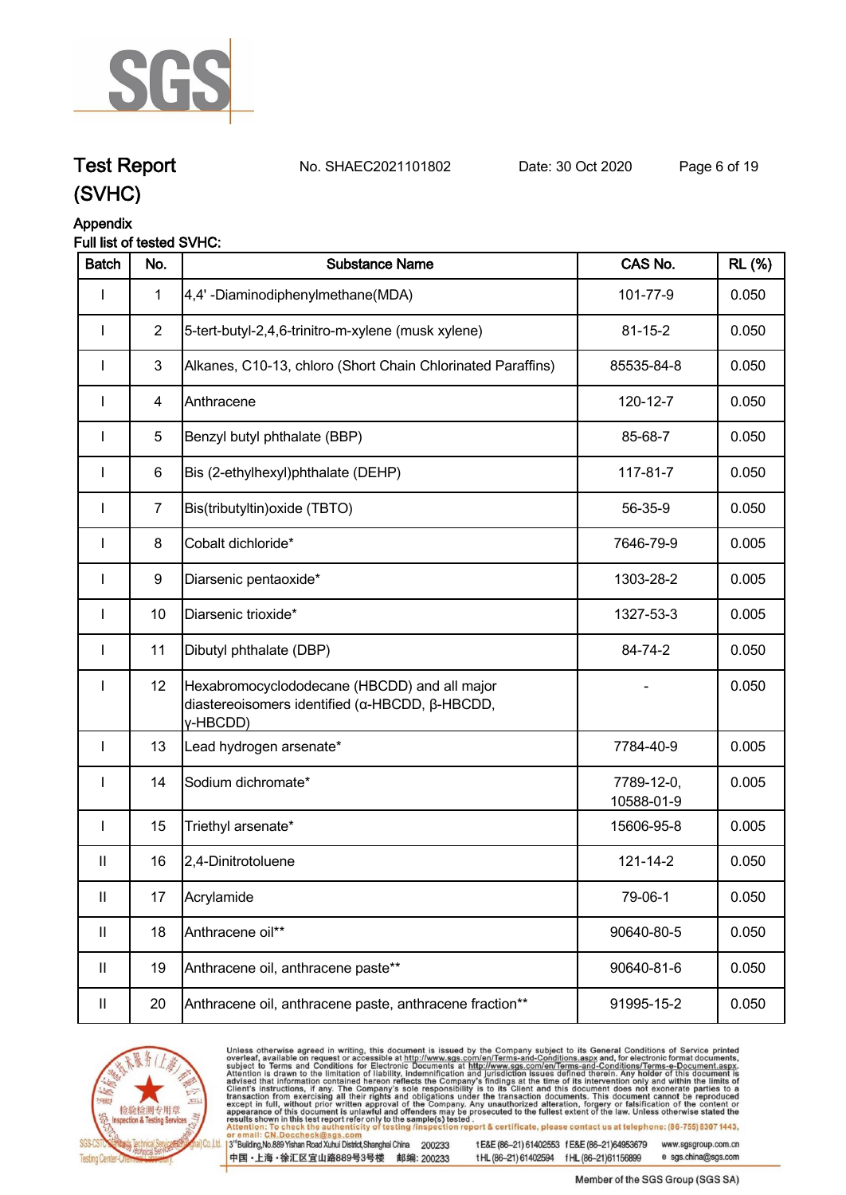

**Test Report. No. SHAEC2021101802 Date: 30 Oct 2020. Page 6 of 19.**

# **(SVHC)**

#### **Appendix**

#### **Full list of tested SVHC:**

| <b>Batch</b>               | No.              | <b>Substance Name</b>                                                                                      | CAS No.                  | <b>RL</b> (%) |
|----------------------------|------------------|------------------------------------------------------------------------------------------------------------|--------------------------|---------------|
| ı                          | $\mathbf{1}$     | 4,4'-Diaminodiphenylmethane(MDA)                                                                           | 101-77-9                 | 0.050         |
| I                          | $\overline{2}$   | 5-tert-butyl-2,4,6-trinitro-m-xylene (musk xylene)                                                         | $81 - 15 - 2$            | 0.050         |
|                            | 3                | Alkanes, C10-13, chloro (Short Chain Chlorinated Paraffins)                                                | 85535-84-8               | 0.050         |
|                            | $\overline{4}$   | Anthracene                                                                                                 | 120-12-7                 | 0.050         |
| I                          | 5                | Benzyl butyl phthalate (BBP)                                                                               | 85-68-7                  | 0.050         |
| I                          | $\,6$            | Bis (2-ethylhexyl)phthalate (DEHP)                                                                         | 117-81-7                 | 0.050         |
| $\mathbf{I}$               | $\overline{7}$   | Bis(tributyltin) oxide (TBTO)                                                                              | 56-35-9                  | 0.050         |
| $\mathbf{I}$               | 8                | Cobalt dichloride*                                                                                         | 7646-79-9                | 0.005         |
| I                          | $\boldsymbol{9}$ | Diarsenic pentaoxide*                                                                                      | 1303-28-2                | 0.005         |
| I                          | 10               | Diarsenic trioxide*                                                                                        | 1327-53-3                | 0.005         |
| <b>I</b>                   | 11               | Dibutyl phthalate (DBP)                                                                                    | 84-74-2                  | 0.050         |
| I                          | 12               | Hexabromocyclododecane (HBCDD) and all major<br>diastereoisomers identified (α-HBCDD, β-HBCDD,<br>y-HBCDD) |                          | 0.050         |
| $\mathbf{I}$               | 13               | Lead hydrogen arsenate*                                                                                    | 7784-40-9                | 0.005         |
| $\mathbf{I}$               | 14               | Sodium dichromate*                                                                                         | 7789-12-0,<br>10588-01-9 | 0.005         |
| <b>I</b>                   | 15               | Triethyl arsenate*                                                                                         | 15606-95-8               | 0.005         |
| $\mathbf{II}$              | 16               | 2,4-Dinitrotoluene                                                                                         | 121-14-2                 | 0.050         |
| $\mathop{\rm II}\nolimits$ | 17               | Acrylamide                                                                                                 | 79-06-1                  | 0.050         |
| $\mathbf{II}$              | 18               | Anthracene oil**                                                                                           | 90640-80-5               | 0.050         |
| $\mathbf{II}$              | 19               | Anthracene oil, anthracene paste**                                                                         | 90640-81-6               | 0.050         |
| $\ensuremath{\mathsf{II}}$ | 20               | Anthracene oil, anthracene paste, anthracene fraction**                                                    | 91995-15-2               | 0.050         |



Unless otherwise agreed in writing, this document is issued by the Company subject to its General Conditions of Service printed overleaf, available on request or accessible at http://www.sgs.com/en/Terms-and-Conditions.asp

3<sup>te</sup>Building, No.889 Yishan Road Xuhui District, Shanghai China 200233 中国·上海·徐汇区宜山路889号3号楼 邮编: 200233

tE&E (86-21) 61402553 fE&E (86-21)64953679 www.sgsgroup.com.cn

tHL (86-21) 61402594 fHL (86-21)61156899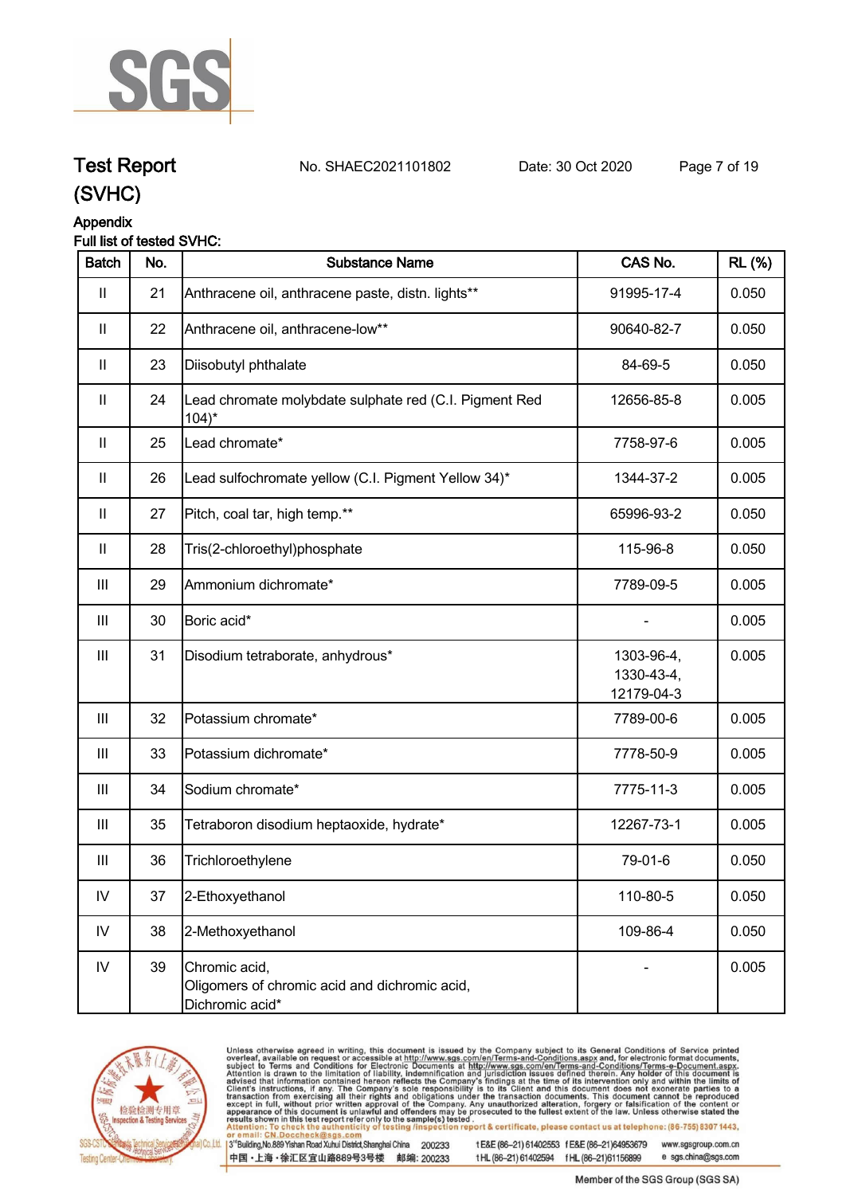

# **Test Report. No. SHAEC2021101802 Date: 30 Oct 2020. Page 7 of 19.**

**(SVHC)**

#### **Appendix**

#### **Full list of tested SVHC:**

| <b>Batch</b>       | No. | <b>Substance Name</b>                                                             | CAS No.                                | <b>RL</b> (%) |
|--------------------|-----|-----------------------------------------------------------------------------------|----------------------------------------|---------------|
| Ш                  | 21  | Anthracene oil, anthracene paste, distn. lights**                                 | 91995-17-4                             | 0.050         |
| $\mathbf{II}$      | 22  | Anthracene oil, anthracene-low**                                                  | 90640-82-7                             | 0.050         |
| $\mathbf{II}$      | 23  | Diisobutyl phthalate                                                              | 84-69-5                                | 0.050         |
| $\mathbf{II}$      | 24  | Lead chromate molybdate sulphate red (C.I. Pigment Red<br>$104$ <sup>*</sup>      | 12656-85-8                             | 0.005         |
| $\mathbf{II}$      | 25  | Lead chromate*                                                                    | 7758-97-6                              | 0.005         |
| $\mathbf{  }$      | 26  | Lead sulfochromate yellow (C.I. Pigment Yellow 34)*                               | 1344-37-2                              | 0.005         |
| $\mathbf{II}$      | 27  | Pitch, coal tar, high temp.**                                                     | 65996-93-2                             | 0.050         |
| $\mathbf{II}$      | 28  | Tris(2-chloroethyl)phosphate                                                      | 115-96-8                               | 0.050         |
| $\mathbf{III}$     | 29  | Ammonium dichromate*                                                              | 7789-09-5                              | 0.005         |
| $\mathbf{III}$     | 30  | Boric acid*                                                                       |                                        | 0.005         |
| $\mathop{\rm III}$ | 31  | Disodium tetraborate, anhydrous*                                                  | 1303-96-4,<br>1330-43-4,<br>12179-04-3 | 0.005         |
| $\mathbf{III}$     | 32  | Potassium chromate*                                                               | 7789-00-6                              | 0.005         |
| Ш                  | 33  | Potassium dichromate*                                                             | 7778-50-9                              | 0.005         |
| $\mathbf{III}$     | 34  | Sodium chromate*                                                                  | 7775-11-3                              | 0.005         |
| $\mathbf{III}$     | 35  | Tetraboron disodium heptaoxide, hydrate*                                          | 12267-73-1                             | 0.005         |
| Ш                  | 36  | Trichloroethylene                                                                 | 79-01-6                                | 0.050         |
| ${\sf IV}$         | 37  | 2-Ethoxyethanol                                                                   | 110-80-5                               | 0.050         |
| IV                 | 38  | 2-Methoxyethanol                                                                  | 109-86-4                               | 0.050         |
| IV                 | 39  | Chromic acid,<br>Oligomers of chromic acid and dichromic acid,<br>Dichromic acid* |                                        | 0.005         |



Unless otherwise agreed in writing, this document is issued by the Company subject to its General Conditions of Service printed overleaf, available on request or accessible at http://www.sgs.com/en/Terms-and-Conditions.asp

3<sup>te</sup>Building, No.889 Yishan Road Xuhui District, Shanghai China 200233 中国·上海·徐汇区宜山路889号3号楼 邮编: 200233

tE&E (86-21) 61402553 fE&E (86-21)64953679 www.sgsgroup.com.cn e sgs.china@sgs.com tHL (86-21) 61402594 fHL (86-21)61156899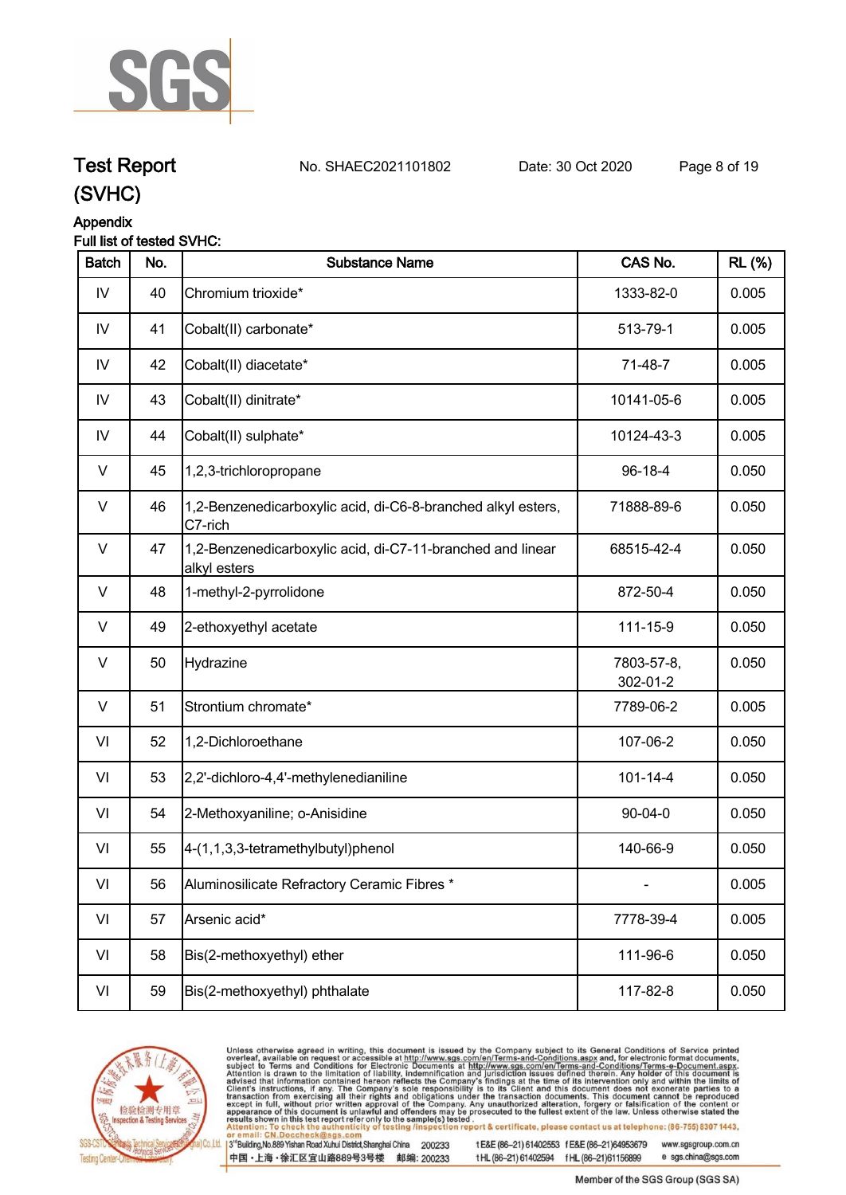

## **Test Report. No. SHAEC2021101802 Date: 30 Oct 2020. Page 8 of 19.**

**(SVHC)**

#### **Appendix**

#### **Full list of tested SVHC:**

| <b>Batch</b>  | No. | <b>Substance Name</b>                                                      | CAS No.                | <b>RL</b> (%) |
|---------------|-----|----------------------------------------------------------------------------|------------------------|---------------|
| $\mathsf{IV}$ | 40  | Chromium trioxide*                                                         | 1333-82-0              | 0.005         |
| IV            | 41  | Cobalt(II) carbonate*                                                      | 513-79-1               | 0.005         |
| IV            | 42  | Cobalt(II) diacetate*                                                      | 71-48-7                | 0.005         |
| IV            | 43  | Cobalt(II) dinitrate*                                                      | 10141-05-6             | 0.005         |
| IV            | 44  | Cobalt(II) sulphate*                                                       | 10124-43-3             | 0.005         |
| V             | 45  | 1,2,3-trichloropropane                                                     | 96-18-4                | 0.050         |
| $\vee$        | 46  | 1,2-Benzenedicarboxylic acid, di-C6-8-branched alkyl esters,<br>C7-rich    | 71888-89-6             | 0.050         |
| V             | 47  | 1,2-Benzenedicarboxylic acid, di-C7-11-branched and linear<br>alkyl esters | 68515-42-4             | 0.050         |
| $\vee$        | 48  | 1-methyl-2-pyrrolidone                                                     | 872-50-4               | 0.050         |
| V             | 49  | 2-ethoxyethyl acetate                                                      | 111-15-9               | 0.050         |
| $\vee$        | 50  | Hydrazine                                                                  | 7803-57-8,<br>302-01-2 | 0.050         |
| V             | 51  | Strontium chromate*                                                        | 7789-06-2              | 0.005         |
| VI            | 52  | 1,2-Dichloroethane                                                         | 107-06-2               | 0.050         |
| VI            | 53  | 2,2'-dichloro-4,4'-methylenedianiline                                      | $101 - 14 - 4$         | 0.050         |
| VI            | 54  | 2-Methoxyaniline; o-Anisidine                                              | $90 - 04 - 0$          | 0.050         |
| VI            | 55  | 4-(1,1,3,3-tetramethylbutyl)phenol                                         | 140-66-9               | 0.050         |
| VI            | 56  | Aluminosilicate Refractory Ceramic Fibres *                                |                        | 0.005         |
| VI            | 57  | Arsenic acid*                                                              | 7778-39-4              | 0.005         |
| VI            | 58  | Bis(2-methoxyethyl) ether                                                  | 111-96-6               | 0.050         |
| VI            | 59  | Bis(2-methoxyethyl) phthalate                                              | 117-82-8               | 0.050         |



Unless otherwise agreed in writing, this document is issued by the Company subject to its General Conditions of Service printed overleaf, available on request or accessible at http://www.sgs.com/en/Terms-and-Conditions.asp

3<sup>te</sup>Building, No.889 Yishan Road Xuhui District, Shanghai China 200233 中国·上海·徐汇区宜山路889号3号楼 邮编: 200233

tE&E (86-21) 61402553 fE&E (86-21)64953679 www.sgsgroup.com.cn

tHL (86-21) 61402594 fHL (86-21)61156899 e sgs.china@sgs.com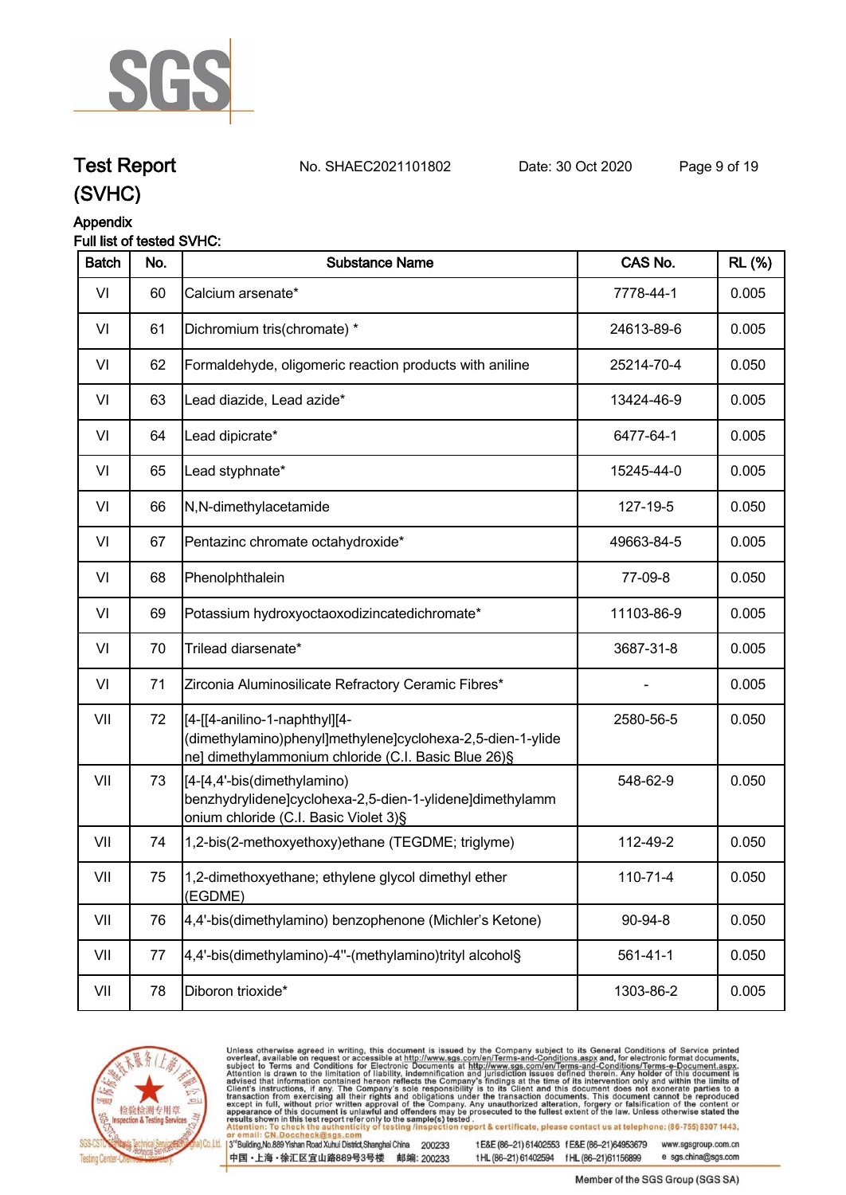

**Test Report. No. SHAEC2021101802 Date: 30 Oct 2020. Page 9 of 19.**

### **(SVHC)**

#### **Appendix**

#### **Full list of tested SVHC:**

| <b>Batch</b> | No. | <b>Substance Name</b>                                                                                                                               | CAS No.        | <b>RL</b> (%) |
|--------------|-----|-----------------------------------------------------------------------------------------------------------------------------------------------------|----------------|---------------|
| VI           | 60  | Calcium arsenate*                                                                                                                                   | 7778-44-1      | 0.005         |
| VI           | 61  | Dichromium tris(chromate) *                                                                                                                         | 24613-89-6     | 0.005         |
| VI           | 62  | Formaldehyde, oligomeric reaction products with aniline                                                                                             | 25214-70-4     | 0.050         |
| VI           | 63  | Lead diazide, Lead azide*                                                                                                                           | 13424-46-9     | 0.005         |
| VI           | 64  | Lead dipicrate*                                                                                                                                     | 6477-64-1      | 0.005         |
| VI           | 65  | Lead styphnate*                                                                                                                                     | 15245-44-0     | 0.005         |
| VI           | 66  | N,N-dimethylacetamide                                                                                                                               | 127-19-5       | 0.050         |
| VI           | 67  | Pentazinc chromate octahydroxide*                                                                                                                   | 49663-84-5     | 0.005         |
| VI           | 68  | Phenolphthalein                                                                                                                                     | 77-09-8        | 0.050         |
| VI           | 69  | Potassium hydroxyoctaoxodizincatedichromate*                                                                                                        | 11103-86-9     | 0.005         |
| VI           | 70  | Trilead diarsenate*                                                                                                                                 | 3687-31-8      | 0.005         |
| VI           | 71  | Zirconia Aluminosilicate Refractory Ceramic Fibres*                                                                                                 |                | 0.005         |
| VII          | 72  | [[4-[[4-anilino-1-naphthyl][4-<br>(dimethylamino)phenyl]methylene]cyclohexa-2,5-dien-1-ylide<br>ne] dimethylammonium chloride (C.I. Basic Blue 26)§ | 2580-56-5      | 0.050         |
| VII          | 73  | [4-[4,4'-bis(dimethylamino)<br>benzhydrylidene]cyclohexa-2,5-dien-1-ylidene]dimethylamm<br>onium chloride (C.I. Basic Violet 3)§                    | 548-62-9       | 0.050         |
| VII          | 74  | 1,2-bis(2-methoxyethoxy)ethane (TEGDME; triglyme)                                                                                                   | 112-49-2       | 0.050         |
| VII          | 75  | 1,2-dimethoxyethane; ethylene glycol dimethyl ether<br>(EGDME)                                                                                      | $110 - 71 - 4$ | 0.050         |
| VII          | 76  | 4,4'-bis(dimethylamino) benzophenone (Michler's Ketone)                                                                                             | 90-94-8        | 0.050         |
| VII          | 77  | 4,4'-bis(dimethylamino)-4"-(methylamino)trityl alcohol§                                                                                             | $561 - 41 - 1$ | 0.050         |
| VII          | 78  | Diboron trioxide*                                                                                                                                   | 1303-86-2      | 0.005         |



Unless otherwise agreed in writing, this document is issued by the Company subject to its General Conditions of Service printed overleaf, available on request or accessible at http://www.sgs.com/en/Terms-and-Conditions.asp

3<sup>te</sup>Building, No.889 Yishan Road Xuhui District, Shanghai China 200233 中国·上海·徐汇区宜山路889号3号楼 邮编: 200233

tE&E (86-21) 61402553 fE&E (86-21)64953679 www.sgsgroup.com.cn

tHL (86-21) 61402594 fHL (86-21)61156899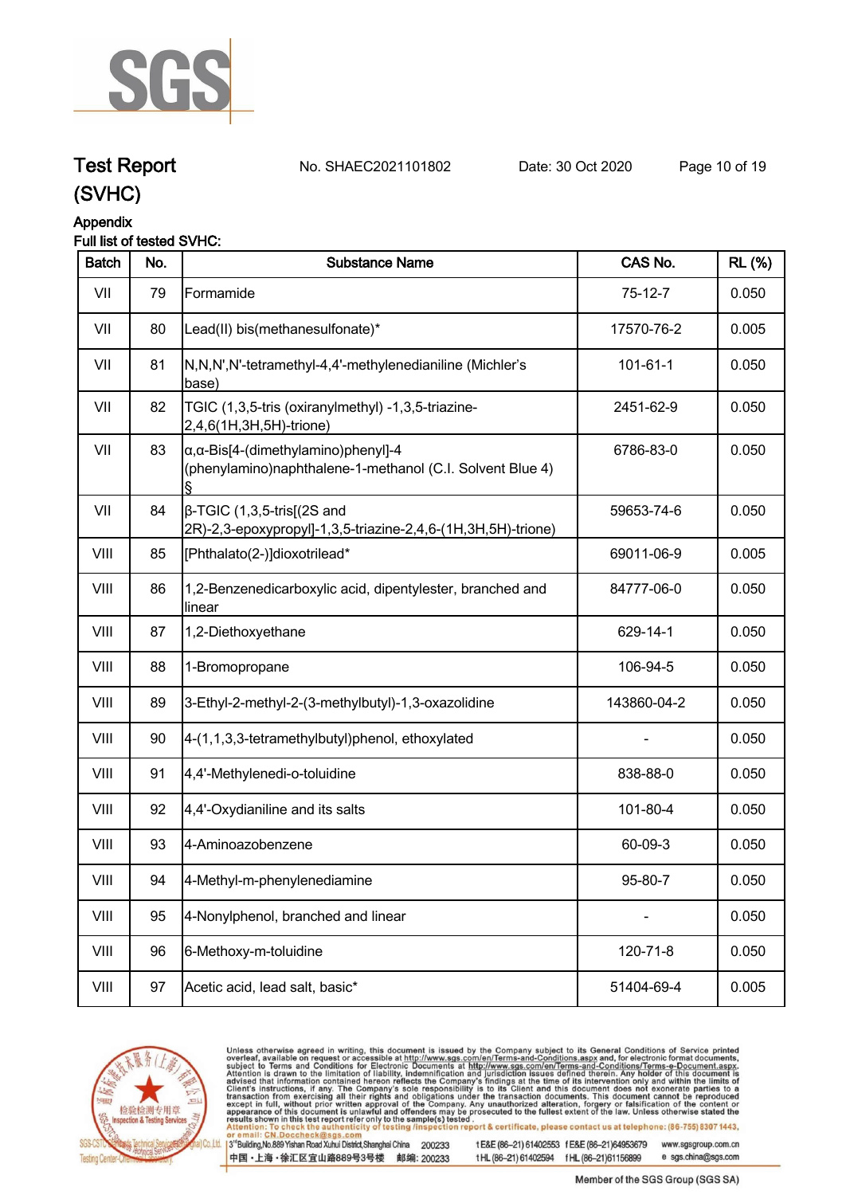

### **Test Report. No. SHAEC2021101802 Date: 30 Oct 2020. Page 10 of 19.**

#### **Appendix**

#### **Full list of tested SVHC:**

| <b>Batch</b> | No. | <b>Substance Name</b>                                                                                            | CAS No.        | <b>RL</b> (%) |
|--------------|-----|------------------------------------------------------------------------------------------------------------------|----------------|---------------|
| VII          | 79  | Formamide                                                                                                        | $75-12-7$      | 0.050         |
| VII          | 80  | Lead(II) bis(methanesulfonate)*                                                                                  | 17570-76-2     | 0.005         |
| VII          | 81  | N,N,N',N'-tetramethyl-4,4'-methylenedianiline (Michler's<br>base)                                                | $101 - 61 - 1$ | 0.050         |
| VII          | 82  | TGIC (1,3,5-tris (oxiranylmethyl) -1,3,5-triazine-<br>2,4,6(1H,3H,5H)-trione)                                    | 2451-62-9      | 0.050         |
| VII          | 83  | $\alpha$ , $\alpha$ -Bis[4-(dimethylamino)phenyl]-4<br>(phenylamino)naphthalene-1-methanol (C.I. Solvent Blue 4) | 6786-83-0      | 0.050         |
| VII          | 84  | $\beta$ -TGIC (1,3,5-tris[(2S and<br>2R)-2,3-epoxypropyl]-1,3,5-triazine-2,4,6-(1H,3H,5H)-trione)                | 59653-74-6     | 0.050         |
| VIII         | 85  | [Phthalato(2-)]dioxotrilead*                                                                                     | 69011-06-9     | 0.005         |
| VIII         | 86  | 1,2-Benzenedicarboxylic acid, dipentylester, branched and<br>linear                                              | 84777-06-0     | 0.050         |
| VIII         | 87  | 1,2-Diethoxyethane                                                                                               | 629-14-1       | 0.050         |
| VIII         | 88  | 1-Bromopropane                                                                                                   | 106-94-5       | 0.050         |
| VIII         | 89  | 3-Ethyl-2-methyl-2-(3-methylbutyl)-1,3-oxazolidine                                                               | 143860-04-2    | 0.050         |
| VIII         | 90  | 4-(1,1,3,3-tetramethylbutyl)phenol, ethoxylated                                                                  |                | 0.050         |
| VIII         | 91  | 4,4'-Methylenedi-o-toluidine                                                                                     | 838-88-0       | 0.050         |
| VIII         | 92  | 4,4'-Oxydianiline and its salts                                                                                  | 101-80-4       | 0.050         |
| VIII         | 93  | 4-Aminoazobenzene                                                                                                | 60-09-3        | 0.050         |
| VIII         | 94  | 4-Methyl-m-phenylenediamine                                                                                      | 95-80-7        | 0.050         |
| VIII         | 95  | 4-Nonylphenol, branched and linear                                                                               |                | 0.050         |
| VIII         | 96  | 6-Methoxy-m-toluidine                                                                                            | 120-71-8       | 0.050         |
| VIII         | 97  | Acetic acid, lead salt, basic*                                                                                   | 51404-69-4     | 0.005         |
|              |     |                                                                                                                  |                |               |



Unless otherwise agreed in writing, this document is issued by the Company subject to its General Conditions of Service printed overleaf, available on request or accessible at http://www.sgs.com/en/Terms-and-Conditions.asp

3<sup>te</sup>Building, No.889 Yishan Road Xuhui District, Shanghai China 200233 中国·上海·徐汇区宜山路889号3号楼 邮编: 200233

tE&E (86-21) 61402553 fE&E (86-21)64953679 www.sgsgroup.com.cn

tHL (86-21) 61402594 fHL (86-21)61156899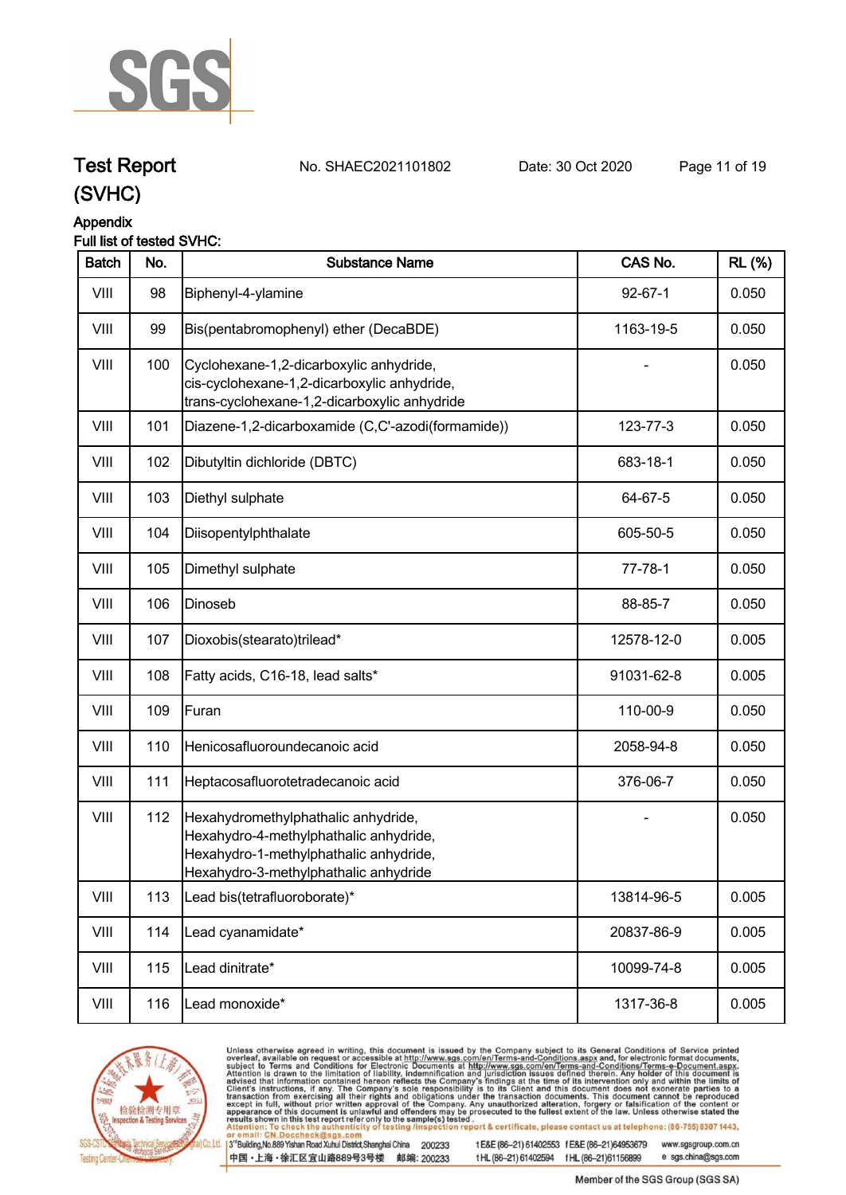

## **Test Report. No. SHAEC2021101802 Date: 30 Oct 2020. Page 11 of 19.**

### **(SVHC)**

#### **Appendix**

#### **Full list of tested SVHC:**

| <b>Batch</b> | No. | <b>Substance Name</b>                                                                                                                                            | CAS No.       | <b>RL</b> (%) |
|--------------|-----|------------------------------------------------------------------------------------------------------------------------------------------------------------------|---------------|---------------|
| VIII         | 98  | Biphenyl-4-ylamine                                                                                                                                               | $92 - 67 - 1$ | 0.050         |
| VIII         | 99  | Bis(pentabromophenyl) ether (DecaBDE)                                                                                                                            | 1163-19-5     | 0.050         |
| VIII         | 100 | Cyclohexane-1,2-dicarboxylic anhydride,<br>cis-cyclohexane-1,2-dicarboxylic anhydride,<br>trans-cyclohexane-1,2-dicarboxylic anhydride                           |               | 0.050         |
| VIII         | 101 | Diazene-1,2-dicarboxamide (C,C'-azodi(formamide))                                                                                                                | 123-77-3      | 0.050         |
| VIII         | 102 | Dibutyltin dichloride (DBTC)                                                                                                                                     | 683-18-1      | 0.050         |
| VIII         | 103 | Diethyl sulphate                                                                                                                                                 | 64-67-5       | 0.050         |
| VIII         | 104 | Diisopentylphthalate                                                                                                                                             | 605-50-5      | 0.050         |
| VIII         | 105 | Dimethyl sulphate                                                                                                                                                | $77 - 78 - 1$ | 0.050         |
| VIII         | 106 | Dinoseb                                                                                                                                                          | 88-85-7       | 0.050         |
| VIII         | 107 | Dioxobis(stearato)trilead*                                                                                                                                       | 12578-12-0    | 0.005         |
| VIII         | 108 | Fatty acids, C16-18, lead salts*                                                                                                                                 | 91031-62-8    | 0.005         |
| VIII         | 109 | Furan                                                                                                                                                            | 110-00-9      | 0.050         |
| VIII         | 110 | Henicosafluoroundecanoic acid                                                                                                                                    | 2058-94-8     | 0.050         |
| VIII         | 111 | Heptacosafluorotetradecanoic acid                                                                                                                                | 376-06-7      | 0.050         |
| VIII         | 112 | Hexahydromethylphathalic anhydride,<br>Hexahydro-4-methylphathalic anhydride,<br>Hexahydro-1-methylphathalic anhydride,<br>Hexahydro-3-methylphathalic anhydride |               | 0.050         |
| VIII         | 113 | Lead bis(tetrafluoroborate)*                                                                                                                                     | 13814-96-5    | 0.005         |
| VIII         | 114 | Lead cyanamidate*                                                                                                                                                | 20837-86-9    | 0.005         |
| VIII         | 115 | Lead dinitrate*                                                                                                                                                  | 10099-74-8    | 0.005         |
| VIII         | 116 | Lead monoxide*                                                                                                                                                   | 1317-36-8     | 0.005         |
|              |     |                                                                                                                                                                  |               |               |



Unless otherwise agreed in writing, this document is issued by the Company subject to its General Conditions of Service printed overleaf, available on request or accessible at http://www.sgs.com/en/Terms-and-Conditions.asp

3<sup>te</sup>Building, No.889 Yishan Road Xuhui District, Shanghai China 200233 中国·上海·徐汇区宜山路889号3号楼 邮编: 200233

tE&E (86-21) 61402553 fE&E (86-21)64953679 www.sgsgroup.com.cn

tHL (86-21) 61402594 fHL (86-21)61156899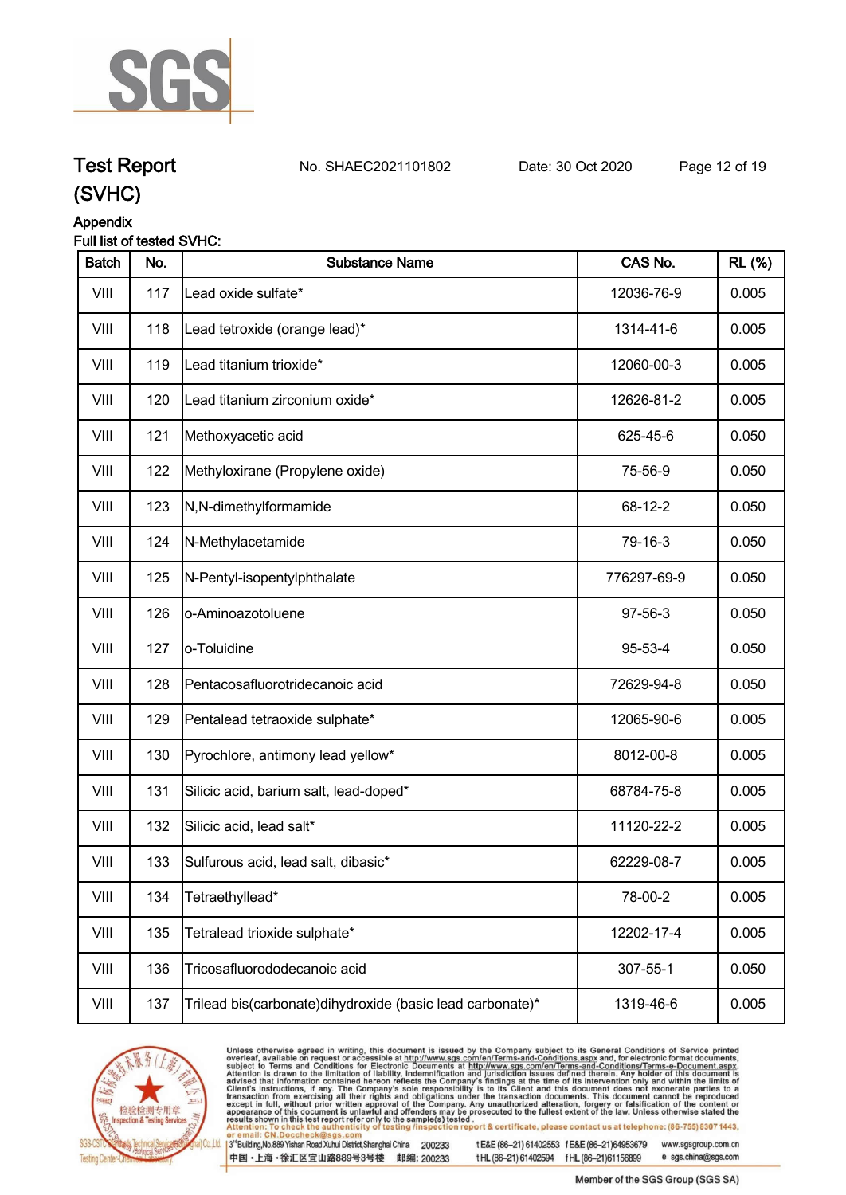

**Test Report. No. SHAEC2021101802 Date: 30 Oct 2020. Page 12 of 19.**

## **(SVHC)**

#### **Appendix**

#### **Full list of tested SVHC:**

| <b>Batch</b> | No. | <b>Substance Name</b>                                       | CAS No.     | <b>RL</b> (%) |
|--------------|-----|-------------------------------------------------------------|-------------|---------------|
| VIII         | 117 | Lead oxide sulfate*                                         | 12036-76-9  | 0.005         |
| VIII         | 118 | Lead tetroxide (orange lead)*                               | 1314-41-6   | 0.005         |
| VIII         | 119 | Lead titanium trioxide*                                     | 12060-00-3  | 0.005         |
| VIII         | 120 | Lead titanium zirconium oxide*                              | 12626-81-2  | 0.005         |
| VIII         | 121 | Methoxyacetic acid                                          | 625-45-6    | 0.050         |
| VIII         | 122 | Methyloxirane (Propylene oxide)                             | 75-56-9     | 0.050         |
| VIII         | 123 | N,N-dimethylformamide                                       | 68-12-2     | 0.050         |
| VIII         | 124 | N-Methylacetamide                                           | 79-16-3     | 0.050         |
| VIII         | 125 | N-Pentyl-isopentylphthalate                                 | 776297-69-9 | 0.050         |
| VIII         | 126 | o-Aminoazotoluene                                           | 97-56-3     | 0.050         |
| VIII         | 127 | o-Toluidine                                                 | 95-53-4     | 0.050         |
| VIII         | 128 | Pentacosafluorotridecanoic acid                             | 72629-94-8  | 0.050         |
| VIII         | 129 | Pentalead tetraoxide sulphate*                              | 12065-90-6  | 0.005         |
| VIII         | 130 | Pyrochlore, antimony lead yellow*                           | 8012-00-8   | 0.005         |
| VIII         | 131 | Silicic acid, barium salt, lead-doped*                      | 68784-75-8  | 0.005         |
| VIII         | 132 | Silicic acid, lead salt*                                    | 11120-22-2  | 0.005         |
| VIII         | 133 | Sulfurous acid, lead salt, dibasic*                         | 62229-08-7  | 0.005         |
| VIII         | 134 | Tetraethyllead*                                             | 78-00-2     | 0.005         |
| VIII         | 135 | Tetralead trioxide sulphate*                                | 12202-17-4  | 0.005         |
| VIII         | 136 | Tricosafluorododecanoic acid                                | 307-55-1    | 0.050         |
| VIII         | 137 | Trilead bis(carbonate) dihy droxide (basic lead carbonate)* | 1319-46-6   | 0.005         |



Unless otherwise agreed in writing, this document is issued by the Company subject to its General Conditions of Service printed overleaf, available on request or accessible at http://www.sgs.com/en/Terms-and-Conditions.asp

3<sup>te</sup>Building, No.889 Yishan Road Xuhui District, Shanghai China 200233 中国·上海·徐汇区宜山路889号3号楼 邮编: 200233

tE&E (86-21) 61402553 fE&E (86-21)64953679 www.sgsgroup.com.cn

tHL (86-21) 61402594 fHL (86-21)61156899 e sgs.china@sgs.com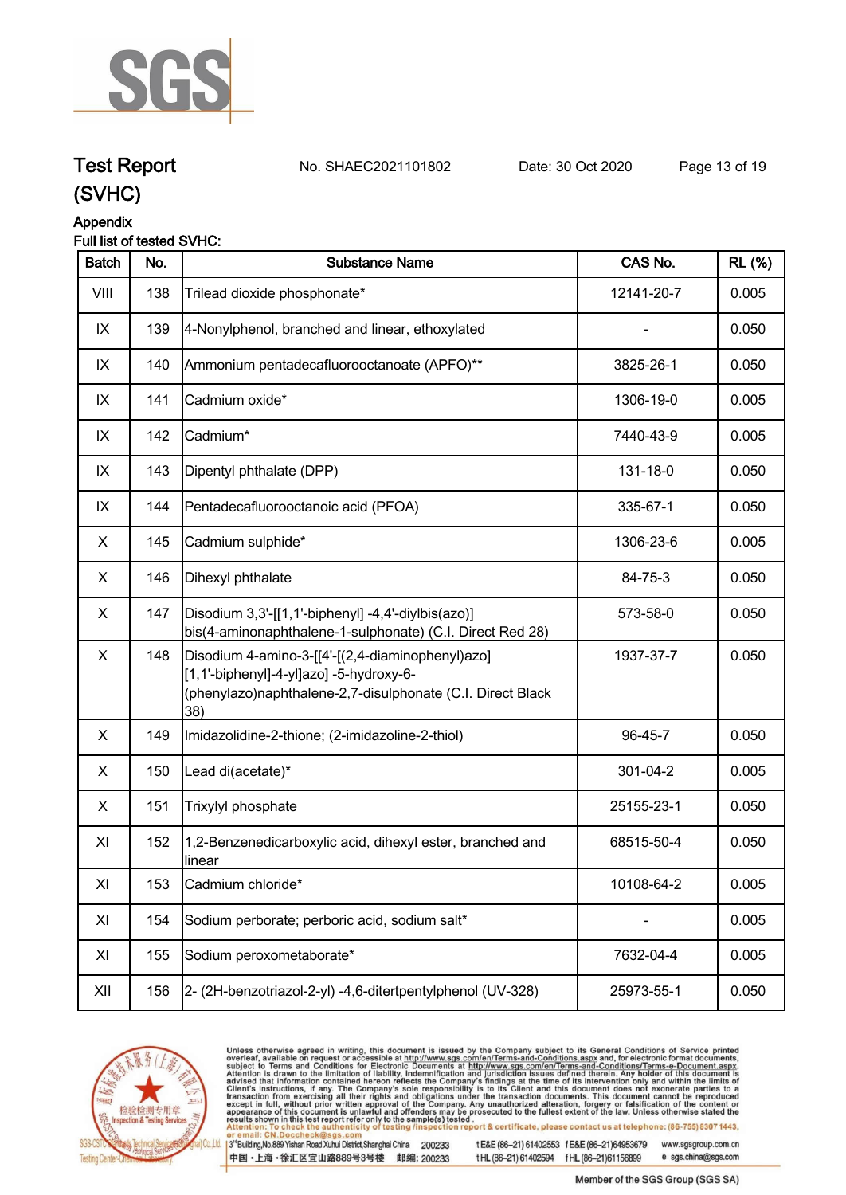

## **Test Report. No. SHAEC2021101802 Date: 30 Oct 2020. Page 13 of 19.**

**(SVHC)**

## **Appendix**

#### **Full list of tested SVHC:**

| <b>Batch</b> | No. | <b>Substance Name</b>                                                                                                                                            | CAS No.    | <b>RL</b> (%) |
|--------------|-----|------------------------------------------------------------------------------------------------------------------------------------------------------------------|------------|---------------|
| VIII         | 138 | Trilead dioxide phosphonate*                                                                                                                                     | 12141-20-7 | 0.005         |
| IX           | 139 | 4-Nonylphenol, branched and linear, ethoxylated                                                                                                                  |            | 0.050         |
| IX           | 140 | Ammonium pentadecafluorooctanoate (APFO)**                                                                                                                       | 3825-26-1  | 0.050         |
| IX           | 141 | Cadmium oxide*                                                                                                                                                   | 1306-19-0  | 0.005         |
| IX           | 142 | Cadmium*                                                                                                                                                         | 7440-43-9  | 0.005         |
| IX           | 143 | Dipentyl phthalate (DPP)                                                                                                                                         | 131-18-0   | 0.050         |
| IX           | 144 | Pentadecafluorooctanoic acid (PFOA)                                                                                                                              | 335-67-1   | 0.050         |
| X            | 145 | Cadmium sulphide*                                                                                                                                                | 1306-23-6  | 0.005         |
| X            | 146 | Dihexyl phthalate                                                                                                                                                | 84-75-3    | 0.050         |
| X            | 147 | [Disodium 3,3'-[[1,1'-biphenyl] -4,4'-diylbis(azo)]<br>bis(4-aminonaphthalene-1-sulphonate) (C.I. Direct Red 28)                                                 | 573-58-0   | 0.050         |
| X            | 148 | Disodium 4-amino-3-[[4'-[(2,4-diaminophenyl)azo]<br>[1,1'-biphenyl]-4-yl]azo] -5-hydroxy-6-<br>(phenylazo)naphthalene-2,7-disulphonate (C.I. Direct Black<br>38) | 1937-37-7  | 0.050         |
| X            | 149 | Imidazolidine-2-thione; (2-imidazoline-2-thiol)                                                                                                                  | 96-45-7    | 0.050         |
| X            | 150 | Lead di(acetate)*                                                                                                                                                | 301-04-2   | 0.005         |
| X            | 151 | Trixylyl phosphate                                                                                                                                               | 25155-23-1 | 0.050         |
| XI           | 152 | 1,2-Benzenedicarboxylic acid, dihexyl ester, branched and<br>linear                                                                                              | 68515-50-4 | 0.050         |
| XI           | 153 | Cadmium chloride*                                                                                                                                                | 10108-64-2 | 0.005         |
| XI           | 154 | Sodium perborate; perboric acid, sodium salt*                                                                                                                    |            | 0.005         |
| XI           | 155 | Sodium peroxometaborate*                                                                                                                                         | 7632-04-4  | 0.005         |
| XII          | 156 | 2- (2H-benzotriazol-2-yl) -4,6-ditertpentylphenol (UV-328)                                                                                                       | 25973-55-1 | 0.050         |



Unless otherwise agreed in writing, this document is issued by the Company subject to its General Conditions of Service printed overleaf, available on request or accessible at http://www.sgs.com/en/Terms-and-Conditions.asp

3<sup>te</sup>Building, No.889 Yishan Road Xuhui District, Shanghai China 200233 中国·上海·徐汇区宜山路889号3号楼 邮编: 200233

tE&E (86-21) 61402553 fE&E (86-21)64953679 www.sgsgroup.com.cn

tHL (86-21) 61402594 fHL (86-21)61156899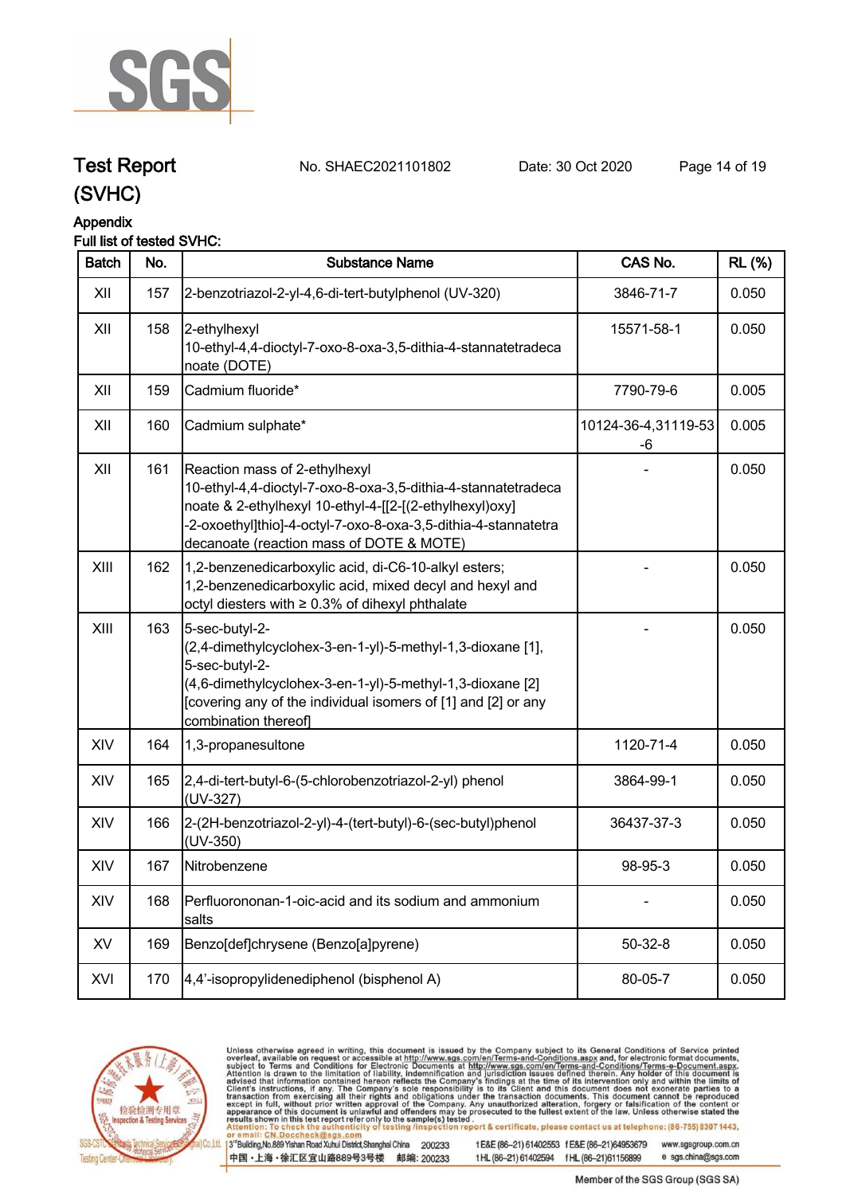

**Test Report. No. SHAEC2021101802 Date: 30 Oct 2020. Page 14 of 19.**

### **(SVHC)**

#### **Appendix**

#### **Full list of tested SVHC:**

| <b>Batch</b> | No. | <b>Substance Name</b>                                                                                                                                                                                                                                                   | CAS No.                   | <b>RL</b> (%) |
|--------------|-----|-------------------------------------------------------------------------------------------------------------------------------------------------------------------------------------------------------------------------------------------------------------------------|---------------------------|---------------|
| XII          | 157 | 2-benzotriazol-2-yl-4,6-di-tert-butylphenol (UV-320)                                                                                                                                                                                                                    | 3846-71-7                 | 0.050         |
| XII          | 158 | 2-ethylhexyl<br>10-ethyl-4,4-dioctyl-7-oxo-8-oxa-3,5-dithia-4-stannatetradeca<br>noate (DOTE)                                                                                                                                                                           | 15571-58-1                | 0.050         |
| XII          | 159 | Cadmium fluoride*                                                                                                                                                                                                                                                       | 7790-79-6                 | 0.005         |
| XII          | 160 | Cadmium sulphate*                                                                                                                                                                                                                                                       | 10124-36-4,31119-53<br>-6 | 0.005         |
| XII          | 161 | Reaction mass of 2-ethylhexyl<br>10-ethyl-4,4-dioctyl-7-oxo-8-oxa-3,5-dithia-4-stannatetradeca<br>noate & 2-ethylhexyl 10-ethyl-4-[[2-[(2-ethylhexyl)oxy]<br>-2-oxoethyl]thio]-4-octyl-7-oxo-8-oxa-3,5-dithia-4-stannatetra<br>decanoate (reaction mass of DOTE & MOTE) |                           | 0.050         |
| XIII         | 162 | 1,2-benzenedicarboxylic acid, di-C6-10-alkyl esters;<br>1,2-benzenedicarboxylic acid, mixed decyl and hexyl and<br>octyl diesters with ≥ 0.3% of dihexyl phthalate                                                                                                      |                           | 0.050         |
| XIII         | 163 | 5-sec-butyl-2-<br>(2,4-dimethylcyclohex-3-en-1-yl)-5-methyl-1,3-dioxane [1],<br>5-sec-butyl-2-<br>(4,6-dimethylcyclohex-3-en-1-yl)-5-methyl-1,3-dioxane [2]<br>[covering any of the individual isomers of [1] and [2] or any<br>combination thereof]                    |                           | 0.050         |
| XIV          | 164 | 1,3-propanesultone                                                                                                                                                                                                                                                      | 1120-71-4                 | 0.050         |
| XIV          | 165 | 2,4-di-tert-butyl-6-(5-chlorobenzotriazol-2-yl) phenol<br>(UV-327)                                                                                                                                                                                                      | 3864-99-1                 | 0.050         |
| XIV          | 166 | 2-(2H-benzotriazol-2-yl)-4-(tert-butyl)-6-(sec-butyl)phenol<br>(UV-350)                                                                                                                                                                                                 | 36437-37-3                | 0.050         |
| XIV          | 167 | Nitrobenzene                                                                                                                                                                                                                                                            | 98-95-3                   | 0.050         |
| XIV          | 168 | Perfluorononan-1-oic-acid and its sodium and ammonium<br>salts                                                                                                                                                                                                          |                           | 0.050         |
| XV           | 169 | Benzo[def]chrysene (Benzo[a]pyrene)                                                                                                                                                                                                                                     | $50 - 32 - 8$             | 0.050         |
| XVI          | 170 | 4,4'-isopropylidenediphenol (bisphenol A)                                                                                                                                                                                                                               | 80-05-7                   | 0.050         |



Unless otherwise agreed in writing, this document is issued by the Company subject to its General Conditions of Service printed overleaf, available on request or accessible at http://www.sgs.com/en/Terms-and-Conditions.asp

3<sup>te</sup>Building, No.889 Yishan Road Xuhui District, Shanghai China 200233 中国·上海·徐汇区宜山路889号3号楼 邮编: 200233

tE&E (86-21) 61402553 fE&E (86-21)64953679 www.sgsgroup.com.cn tHL (86-21) 61402594 fHL (86-21)61156899 e sgs.china@sgs.com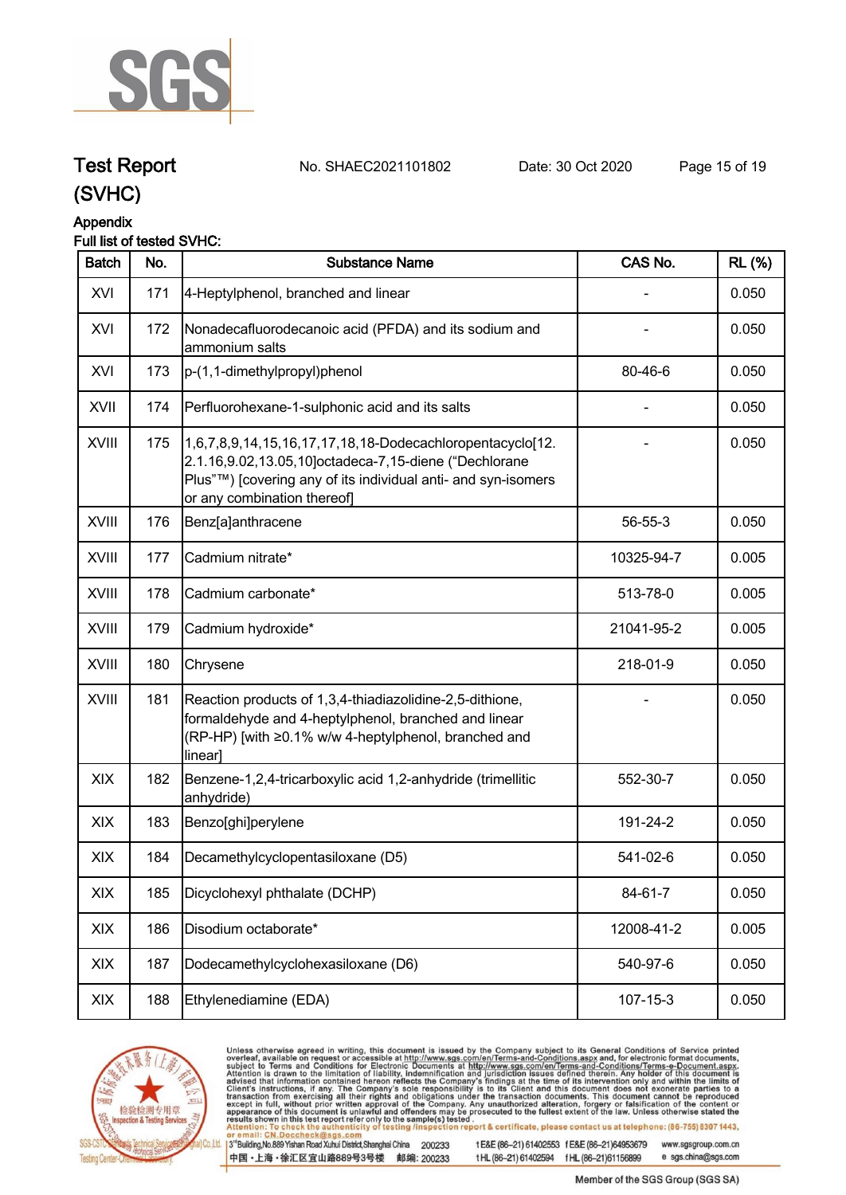

**Test Report. No. SHAEC2021101802 Date: 30 Oct 2020. Page 15 of 19.**

### **(SVHC)**

#### **Appendix**

#### **Full list of tested SVHC:**

| <b>Batch</b> | No. | <b>Substance Name</b>                                                                                                                                                                                             | CAS No.        | <b>RL</b> (%) |
|--------------|-----|-------------------------------------------------------------------------------------------------------------------------------------------------------------------------------------------------------------------|----------------|---------------|
| XVI          | 171 | 4-Heptylphenol, branched and linear                                                                                                                                                                               |                | 0.050         |
| XVI          | 172 | Nonadecafluorodecanoic acid (PFDA) and its sodium and<br>ammonium salts                                                                                                                                           |                | 0.050         |
| XVI          | 173 | p-(1,1-dimethylpropyl)phenol                                                                                                                                                                                      | 80-46-6        | 0.050         |
| XVII         | 174 | Perfluorohexane-1-sulphonic acid and its salts                                                                                                                                                                    |                | 0.050         |
| XVIII        | 175 | 1,6,7,8,9,14,15,16,17,17,18,18-Dodecachloropentacyclo[12.<br>2.1.16,9.02,13.05,10]octadeca-7,15-diene ("Dechlorane<br>Plus"™) [covering any of its individual anti- and syn-isomers<br>or any combination thereof |                | 0.050         |
| <b>XVIII</b> | 176 | Benz[a]anthracene                                                                                                                                                                                                 | 56-55-3        | 0.050         |
| <b>XVIII</b> | 177 | Cadmium nitrate*                                                                                                                                                                                                  | 10325-94-7     | 0.005         |
| <b>XVIII</b> | 178 | Cadmium carbonate*                                                                                                                                                                                                | 513-78-0       | 0.005         |
| <b>XVIII</b> | 179 | Cadmium hydroxide*                                                                                                                                                                                                | 21041-95-2     | 0.005         |
| <b>XVIII</b> | 180 | Chrysene                                                                                                                                                                                                          | 218-01-9       | 0.050         |
| XVIII        | 181 | Reaction products of 1,3,4-thiadiazolidine-2,5-dithione,<br>formaldehyde and 4-heptylphenol, branched and linear<br>(RP-HP) [with ≥0.1% w/w 4-heptylphenol, branched and<br>linear]                               |                | 0.050         |
| XIX          | 182 | Benzene-1,2,4-tricarboxylic acid 1,2-anhydride (trimellitic<br>anhydride)                                                                                                                                         | 552-30-7       | 0.050         |
| XIX          | 183 | Benzo[ghi]perylene                                                                                                                                                                                                | 191-24-2       | 0.050         |
| XIX          | 184 | Decamethylcyclopentasiloxane (D5)                                                                                                                                                                                 | 541-02-6       | 0.050         |
| XIX          | 185 | Dicyclohexyl phthalate (DCHP)                                                                                                                                                                                     | 84-61-7        | 0.050         |
| XIX          | 186 | Disodium octaborate*                                                                                                                                                                                              | 12008-41-2     | 0.005         |
| XIX          | 187 | Dodecamethylcyclohexasiloxane (D6)                                                                                                                                                                                | 540-97-6       | 0.050         |
| XIX          | 188 | Ethylenediamine (EDA)                                                                                                                                                                                             | $107 - 15 - 3$ | 0.050         |



Unless otherwise agreed in writing, this document is issued by the Company subject to its General Conditions of Service printed overleaf, available on request or accessible at http://www.sgs.com/en/Terms-and-Conditions.asp

3<sup>te</sup>Building, No.889 Yishan Road Xuhui District, Shanghai China 200233 中国·上海·徐汇区宜山路889号3号楼 邮编: 200233

tE&E (86-21) 61402553 fE&E (86-21)64953679 www.sgsgroup.com.cn tHL (86-21) 61402594 fHL (86-21)61156899 e sgs.china@sgs.com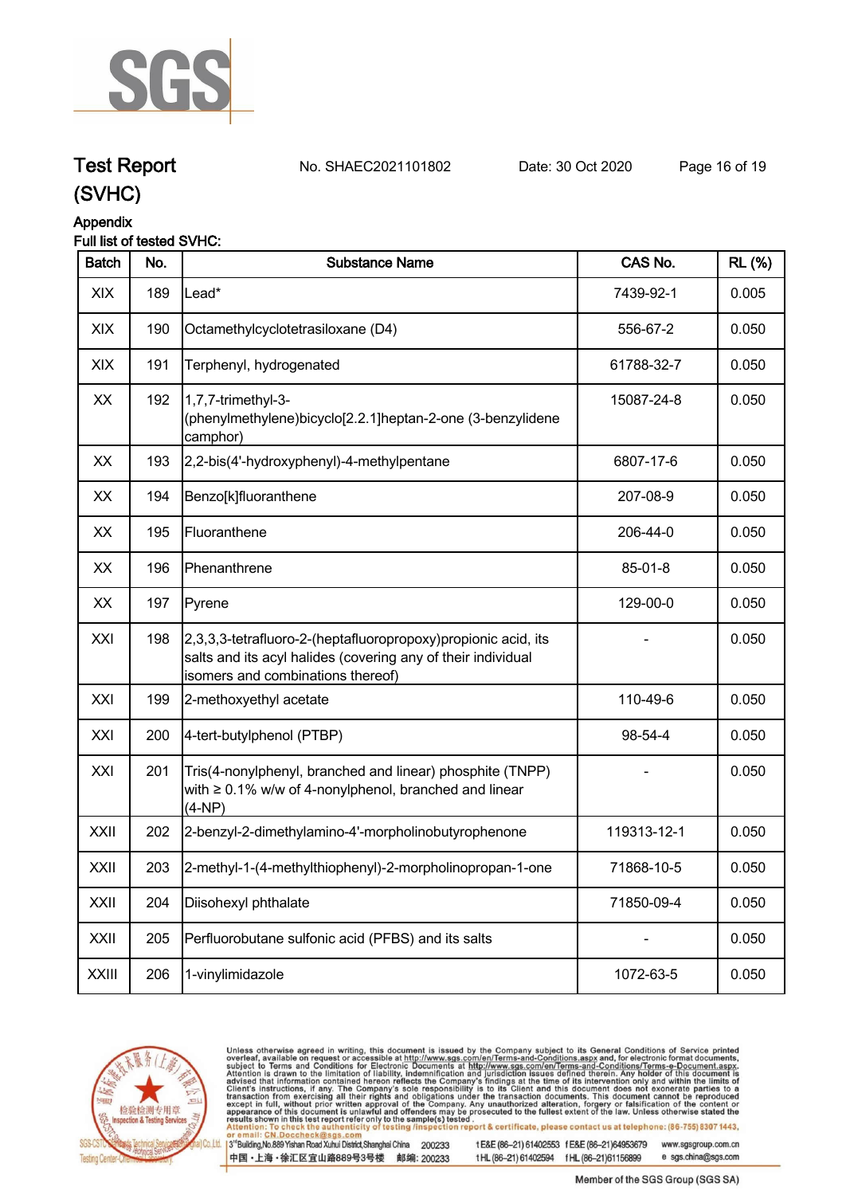

**Test Report. No. SHAEC2021101802 Date: 30 Oct 2020. Page 16 of 19.**

### **Appendix**

| Full list of tested SVHC: |
|---------------------------|
|---------------------------|

| <b>Batch</b> | No. | <b>Substance Name</b>                                                                                                                                               | CAS No.       | <b>RL</b> (%) |
|--------------|-----|---------------------------------------------------------------------------------------------------------------------------------------------------------------------|---------------|---------------|
| XIX          | 189 | Lead*                                                                                                                                                               | 7439-92-1     | 0.005         |
| XIX          | 190 | Octamethylcyclotetrasiloxane (D4)                                                                                                                                   | 556-67-2      | 0.050         |
| XIX          | 191 | Terphenyl, hydrogenated                                                                                                                                             | 61788-32-7    | 0.050         |
| XX           | 192 | 1,7,7-trimethyl-3-<br>(phenylmethylene)bicyclo[2.2.1]heptan-2-one (3-benzylidene<br>camphor)                                                                        | 15087-24-8    | 0.050         |
| XX           | 193 | 2,2-bis(4'-hydroxyphenyl)-4-methylpentane                                                                                                                           | 6807-17-6     | 0.050         |
| XX           | 194 | Benzo[k]fluoranthene                                                                                                                                                | 207-08-9      | 0.050         |
| XX           | 195 | Fluoranthene                                                                                                                                                        | 206-44-0      | 0.050         |
| XX           | 196 | Phenanthrene                                                                                                                                                        | $85 - 01 - 8$ | 0.050         |
| XX           | 197 | Pyrene                                                                                                                                                              | 129-00-0      | 0.050         |
| XXI          | 198 | 2,3,3,3-tetrafluoro-2-(heptafluoropropoxy) propionic acid, its<br>salts and its acyl halides (covering any of their individual<br>isomers and combinations thereof) |               | 0.050         |
| XXI          | 199 | 2-methoxyethyl acetate                                                                                                                                              | 110-49-6      | 0.050         |
| XXI          | 200 | 4-tert-butylphenol (PTBP)                                                                                                                                           | 98-54-4       | 0.050         |
| XXI          | 201 | Tris(4-nonylphenyl, branched and linear) phosphite (TNPP)<br>with $\geq 0.1\%$ w/w of 4-nonylphenol, branched and linear<br>$(4-NP)$                                |               | 0.050         |
| XXII         | 202 | 2-benzyl-2-dimethylamino-4'-morpholinobutyrophenone                                                                                                                 | 119313-12-1   | 0.050         |
| XXII         | 203 | 2-methyl-1-(4-methylthiophenyl)-2-morpholinopropan-1-one                                                                                                            | 71868-10-5    | 0.050         |
| XXII         | 204 | Diisohexyl phthalate                                                                                                                                                | 71850-09-4    | 0.050         |
| XXII         | 205 | Perfluorobutane sulfonic acid (PFBS) and its salts                                                                                                                  |               | 0.050         |
| <b>XXIII</b> | 206 | 1-vinylimidazole                                                                                                                                                    | 1072-63-5     | 0.050         |



Unless otherwise agreed in writing, this document is issued by the Company subject to its General Conditions of Service printed overleaf, available on request or accessible at http://www.sgs.com/en/Terms-and-Conditions.asp

3<sup>te</sup>Building, No.889 Yishan Road Xuhui District, Shanghai China 200233 中国·上海·徐汇区宜山路889号3号楼 邮编: 200233

tE&E (86-21) 61402553 fE&E (86-21)64953679 www.sgsgroup.com.cn

tHL (86-21) 61402594 fHL (86-21)61156899 e sgs.china@sgs.com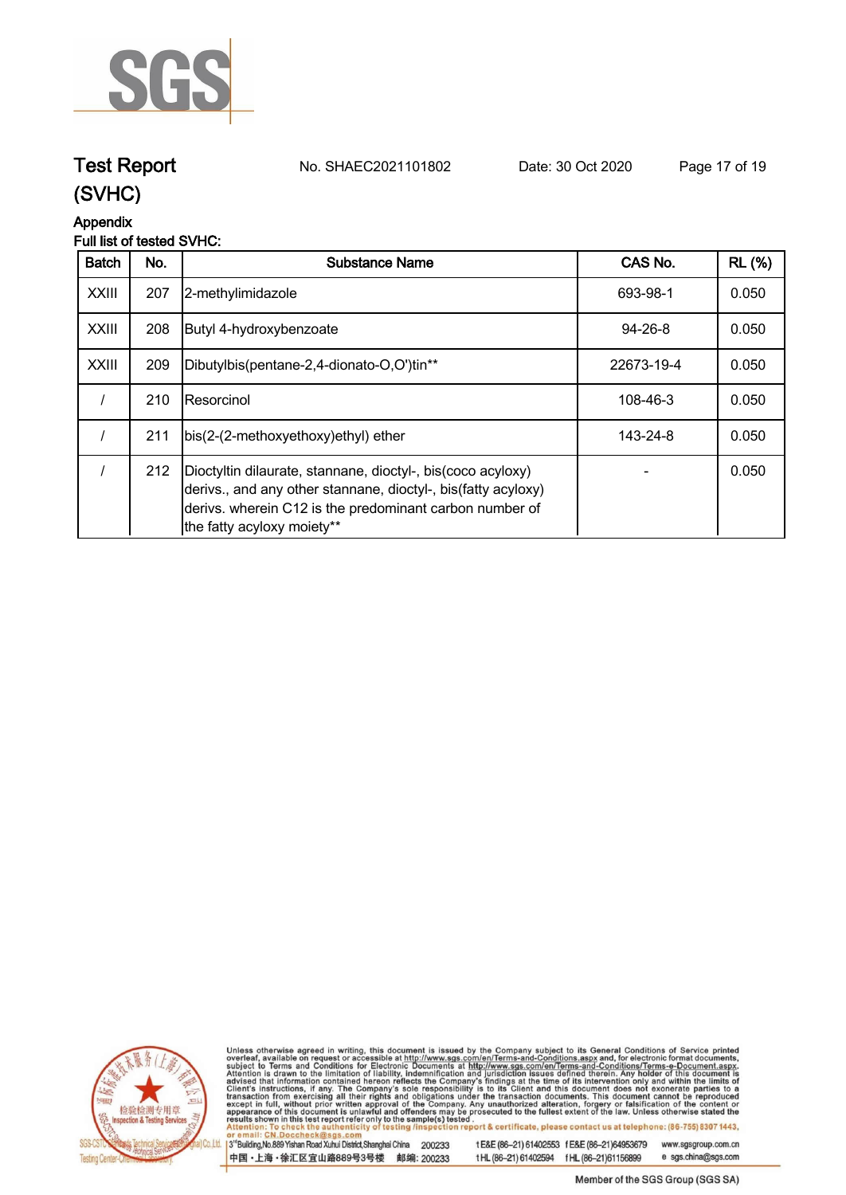

# **Test Report. No. SHAEC2021101802 Date: 30 Oct 2020. Page 17 of 19.**

### **(SVHC)**

#### **Appendix**

#### **Full list of tested SVHC:**

| <b>Batch</b> | No. | Substance Name                                                                                                                                                                                                        | CAS No.       | <b>RL</b> (%) |
|--------------|-----|-----------------------------------------------------------------------------------------------------------------------------------------------------------------------------------------------------------------------|---------------|---------------|
| <b>XXIII</b> | 207 | 2-methylimidazole                                                                                                                                                                                                     | 693-98-1      | 0.050         |
| <b>XXIII</b> | 208 | Butyl 4-hydroxybenzoate                                                                                                                                                                                               | $94 - 26 - 8$ | 0.050         |
| <b>XXIII</b> | 209 | Dibutylbis(pentane-2,4-dionato-O,O')tin**                                                                                                                                                                             | 22673-19-4    | 0.050         |
|              | 210 | IResorcinol                                                                                                                                                                                                           | 108-46-3      | 0.050         |
|              | 211 | bis(2-(2-methoxyethoxy)ethyl) ether                                                                                                                                                                                   | 143-24-8      | 0.050         |
|              | 212 | Dioctyltin dilaurate, stannane, dioctyl-, bis(coco acyloxy)<br>derivs., and any other stannane, dioctyl-, bis(fatty acyloxy)<br>derivs. wherein C12 is the predominant carbon number of<br>the fatty acyloxy moiety** |               | 0.050         |



Unless otherwise agreed in writing, this document is issued by the Company subject to its General Conditions of Service printed overleaf, available on request or accessible at http://www.sgs.com/en/Terms-and-Conditions.asp

3<sup>te</sup>Building, No.889 Yishan Road Xuhui District, Shanghai China 200233 中国·上海·徐汇区宜山路889号3号楼 邮编: 200233

tE&E (86-21) 61402553 fE&E (86-21)64953679 www.sgsgroup.com.cn

tHL (86-21) 61402594 fHL (86-21)61156899 e sgs.china@sgs.com Member of the SGS Group (SGS SA)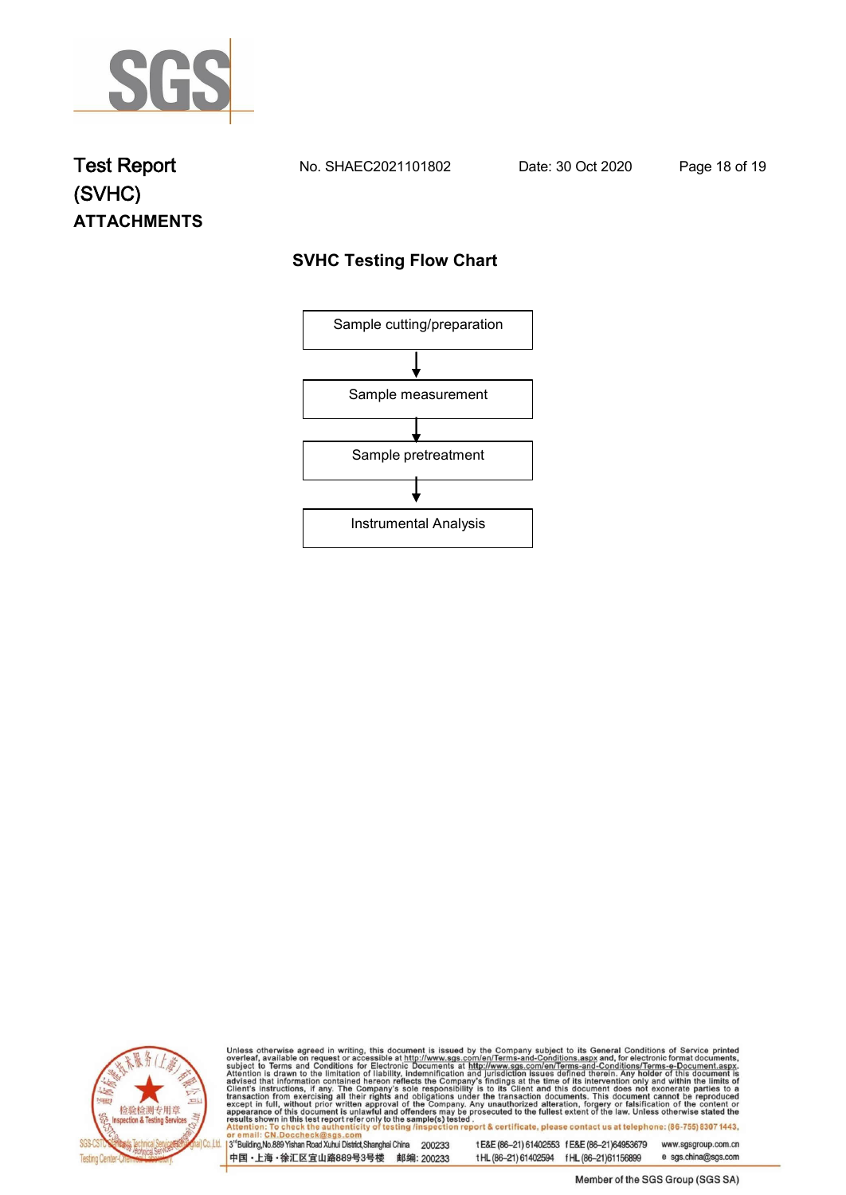

## **Test Report. No. SHAEC2021101802 Date: 30 Oct 2020. Page 18 of 19. (SVHC) ATTACHMENTS**

#### **SVHC Testing Flow Chart**





Unless otherwise agreed in writing, this document is issued by the Company subject to its General Conditions of Service printed overleaf, available on request or accessible at http://www.sgs.com/en/Terms-and-Conditions.asp

3<sup>rd</sup>Building, No.889 Yishan Road Xuhui District, Shanghai China 200233 中国·上海·徐汇区宜山路889号3号楼 邮编: 200233

tE&E (86-21) 61402553 fE&E (86-21)64953679 www.sgsgroup.com.cn

e sgs.china@sgs.com t HL (86-21) 61402594 f HL (86-21) 61156899